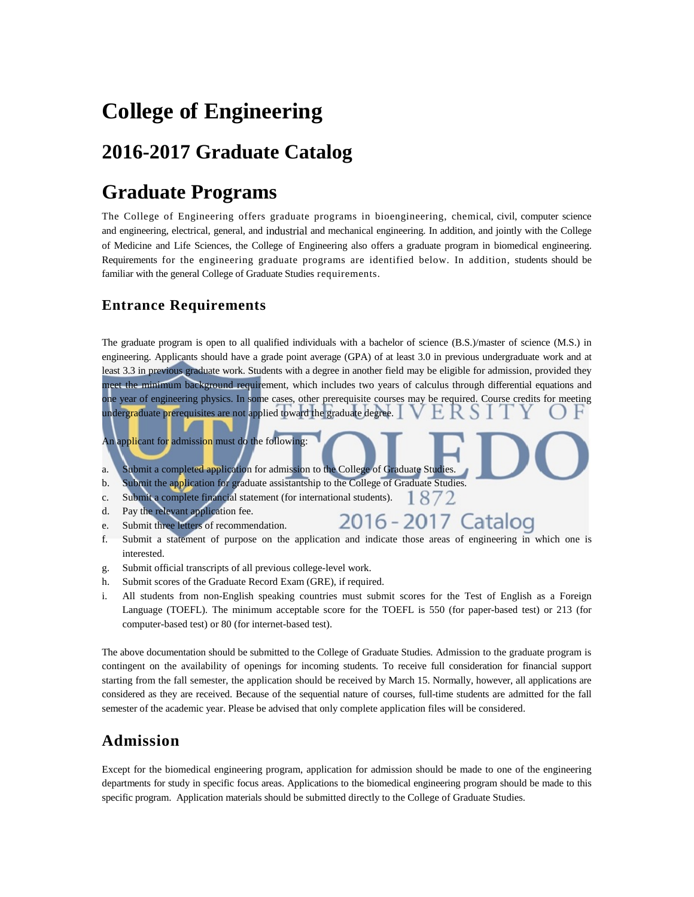# **College of Engineering**

# **2016-2017 Graduate Catalog**

# **Graduate Programs**

The College of Engineering offers graduate programs in bioengineering, chemical, civil, computer science and engineering, electrical, general, and industrial and mechanical engineering. In addition, and jointly with the College of Medicine and Life Sciences, the College of Engineering also offers a graduate program in biomedical engineering. Requirements for the engineering graduate programs are identified below. In addition, students should be familiar with the general College of Graduate Studies requirements.

## **Entrance Requirements**

The graduate program is open to all qualified individuals with a bachelor of science (B.S.)/master of science (M.S.) in engineering. Applicants should have a grade point average (GPA) of at least 3.0 in previous undergraduate work and at least 3.3 in previous graduate work. Students with a degree in another field may be eligible for admission, provided they meet the minimum background requirement, which includes two years of calculus through differential equations and one year of engineering physics. In some cases, other prerequisite courses may be required. Course credits for meeting undergraduate prerequisites are not applied toward the graduate degree. E.R.S

An applicant for admission must do the following:

- a. Submit a completed application for admission to the College of Graduate Studies.
- b. Submit the application for graduate assistantship to the College of Graduate Studies.
- c. Submit a complete financial statement (for international students). 1872
- d. Pay the relevant application fee.
- e. Submit three letters of recommendation.
- f. Submit a statement of purpose on the application and indicate those areas of engineering in which one is interested.

2016 - 2017 Catalog

- g. Submit official transcripts of all previous college-level work.
- h. Submit scores of the Graduate Record Exam (GRE), if required.
- i. All students from non-English speaking countries must submit scores for the Test of English as a Foreign Language (TOEFL). The minimum acceptable score for the TOEFL is 550 (for paper-based test) or 213 (for computer-based test) or 80 (for internet-based test).

The above documentation should be submitted to the College of Graduate Studies. Admission to the graduate program is contingent on the availability of openings for incoming students. To receive full consideration for financial support starting from the fall semester, the application should be received by March 15. Normally, however, all applications are considered as they are received. Because of the sequential nature of courses, full-time students are admitted for the fall semester of the academic year. Please be advised that only complete application files will be considered.

## **Admission**

Except for the biomedical engineering program, application for admission should be made to one of the engineering departments for study in specific focus areas. Applications to the biomedical engineering program should be made to this specific program. Application materials should be submitted directly to the College of Graduate Studies.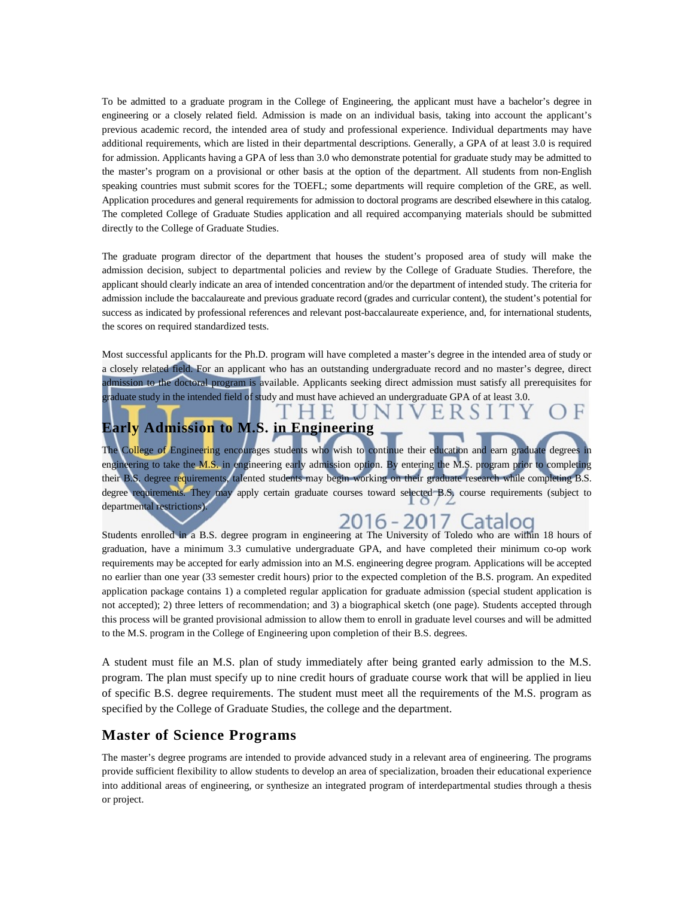To be admitted to a graduate program in the College of Engineering, the applicant must have a bachelor's degree in engineering or a closely related field. Admission is made on an individual basis, taking into account the applicant's previous academic record, the intended area of study and professional experience. Individual departments may have additional requirements, which are listed in their departmental descriptions. Generally, a GPA of at least 3.0 is required for admission. Applicants having a GPA of less than 3.0 who demonstrate potential for graduate study may be admitted to the master's program on a provisional or other basis at the option of the department. All students from non-English speaking countries must submit scores for the TOEFL; some departments will require completion of the GRE, as well. Application procedures and general requirements for admission to doctoral programs are described elsewhere in this catalog. The completed College of Graduate Studies application and all required accompanying materials should be submitted directly to the College of Graduate Studies.

The graduate program director of the department that houses the student's proposed area of study will make the admission decision, subject to departmental policies and review by the College of Graduate Studies. Therefore, the applicant should clearly indicate an area of intended concentration and/or the department of intended study. The criteria for admission include the baccalaureate and previous graduate record (grades and curricular content), the student's potential for success as indicated by professional references and relevant post-baccalaureate experience, and, for international students, the scores on required standardized tests.

Most successful applicants for the Ph.D. program will have completed a master's degree in the intended area of study or a closely related field. For an applicant who has an outstanding undergraduate record and no master's degree, direct admission to the doctoral program is available. Applicants seeking direct admission must satisfy all prerequisites for graduate study in the intended field of study and must have achieved an undergraduate GPA of at least 3.0.

# **Early Admission to M.S. in Engineering**

The College of Engineering encourages students who wish to continue their education and earn graduate degrees in engineering to take the M.S. in engineering early admission option. By entering the M.S. program prior to completing their B.S. degree requirements, talented students may begin working on their graduate research while completing B.S. degree requirements. They may apply certain graduate courses toward selected B.S. course requirements (subject to departmental restrictions).

# 2016 - 2017 Catalog

Students enrolled in a B.S. degree program in engineering at The University of Toledo who are within 18 hours of graduation, have a minimum 3.3 cumulative undergraduate GPA, and have completed their minimum co-op work requirements may be accepted for early admission into an M.S. engineering degree program. Applications will be accepted no earlier than one year (33 semester credit hours) prior to the expected completion of the B.S. program. An expedited application package contains 1) a completed regular application for graduate admission (special student application is not accepted); 2) three letters of recommendation; and 3) a biographical sketch (one page). Students accepted through this process will be granted provisional admission to allow them to enroll in graduate level courses and will be admitted to the M.S. program in the College of Engineering upon completion of their B.S. degrees.

A student must file an M.S. plan of study immediately after being granted early admission to the M.S. program. The plan must specify up to nine credit hours of graduate course work that will be applied in lieu of specific B.S. degree requirements. The student must meet all the requirements of the M.S. program as specified by the College of Graduate Studies, the college and the department.

#### **Master of Science Programs**

The master's degree programs are intended to provide advanced study in a relevant area of engineering. The programs provide sufficient flexibility to allow students to develop an area of specialization, broaden their educational experience into additional areas of engineering, or synthesize an integrated program of interdepartmental studies through a thesis or project.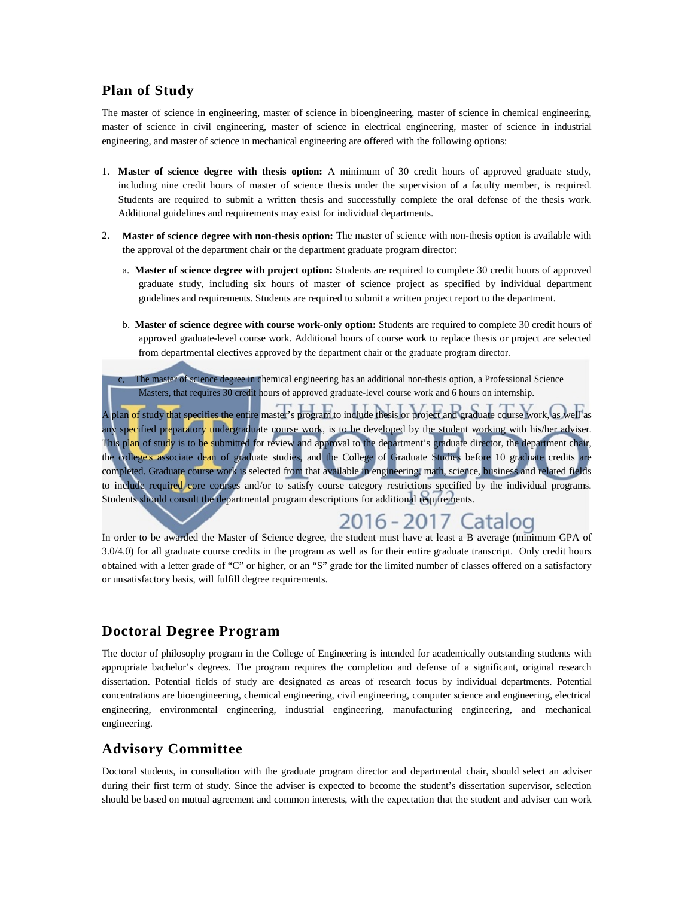#### **Plan of Study**

The master of science in engineering, master of science in bioengineering, master of science in chemical engineering, master of science in civil engineering, master of science in electrical engineering, master of science in industrial engineering, and master of science in mechanical engineering are offered with the following options:

- 1. **Master of science degree with thesis option:** A minimum of 30 credit hours of approved graduate study, including nine credit hours of master of science thesis under the supervision of a faculty member, is required. Students are required to submit a written thesis and successfully complete the oral defense of the thesis work. Additional guidelines and requirements may exist for individual departments.
- 2. **Master of science degree with non-thesis option:** The master of science with non-thesis option is available with the approval of the department chair or the department graduate program director:
	- a. **Master of science degree with project option:** Students are required to complete 30 credit hours of approved graduate study, including six hours of master of science project as specified by individual department guidelines and requirements. Students are required to submit a written project report to the department.
	- b. **Master of science degree with course work-only option:** Students are required to complete 30 credit hours of approved graduate-level course work. Additional hours of course work to replace thesis or project are selected from departmental electives approved by the department chair or the graduate program director.

The master of science degree in chemical engineering has an additional non-thesis option, a Professional Science Masters, that requires 30 credit hours of approved graduate-level course work and 6 hours on internship.

A plan of study that specifies the entire master's program to include thesis or project and graduate course work, as well as any specified preparatory undergraduate course work, is to be developed by the student working with his/her adviser. This plan of study is to be submitted for review and approval to the department's graduate director, the department chair, the college's associate dean of graduate studies, and the College of Graduate Studies before 10 graduate credits are completed. Graduate course work is selected from that available in engineering, math, science, business and related fields to include required core courses and/or to satisfy course category restrictions specified by the individual programs. Students should consult the departmental program descriptions for additional requirements.

#### 2016 - 2017 Catalog

In order to be awarded the Master of Science degree, the student must have at least a B average (minimum GPA of 3.0/4.0) for all graduate course credits in the program as well as for their entire graduate transcript. Only credit hours obtained with a letter grade of "C" or higher, or an "S" grade for the limited number of classes offered on a satisfactory or unsatisfactory basis, will fulfill degree requirements.

#### **Doctoral Degree Program**

The doctor of philosophy program in the College of Engineering is intended for academically outstanding students with appropriate bachelor's degrees. The program requires the completion and defense of a significant, original research dissertation. Potential fields of study are designated as areas of research focus by individual departments. Potential concentrations are bioengineering, chemical engineering, civil engineering, computer science and engineering, electrical engineering, environmental engineering, industrial engineering, manufacturing engineering, and mechanical engineering.

#### **Advisory Committee**

Doctoral students, in consultation with the graduate program director and departmental chair, should select an adviser during their first term of study. Since the adviser is expected to become the student's dissertation supervisor, selection should be based on mutual agreement and common interests, with the expectation that the student and adviser can work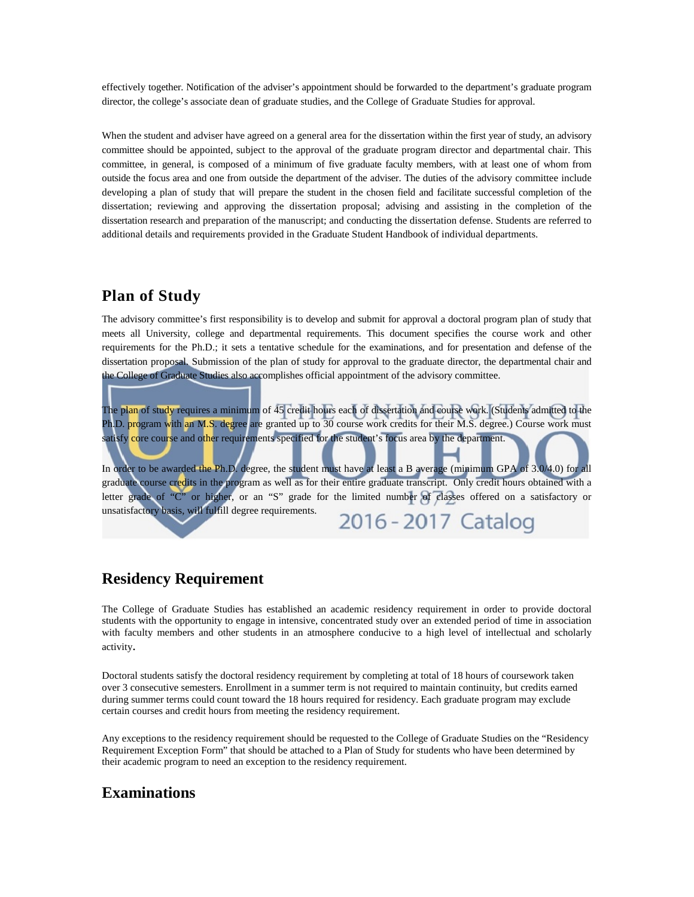effectively together. Notification of the adviser's appointment should be forwarded to the department's graduate program director, the college's associate dean of graduate studies, and the College of Graduate Studies for approval.

When the student and adviser have agreed on a general area for the dissertation within the first year of study, an advisory committee should be appointed, subject to the approval of the graduate program director and departmental chair. This committee, in general, is composed of a minimum of five graduate faculty members, with at least one of whom from outside the focus area and one from outside the department of the adviser. The duties of the advisory committee include developing a plan of study that will prepare the student in the chosen field and facilitate successful completion of the dissertation; reviewing and approving the dissertation proposal; advising and assisting in the completion of the dissertation research and preparation of the manuscript; and conducting the dissertation defense. Students are referred to additional details and requirements provided in the Graduate Student Handbook of individual departments.

## **Plan of Study**

The advisory committee's first responsibility is to develop and submit for approval a doctoral program plan of study that meets all University, college and departmental requirements. This document specifies the course work and other requirements for the Ph.D.; it sets a tentative schedule for the examinations, and for presentation and defense of the dissertation proposal. Submission of the plan of study for approval to the graduate director, the departmental chair and the College of Graduate Studies also accomplishes official appointment of the advisory committee.

The plan of study requires a minimum of 45 credit hours each of dissertation and course work. (Students admitted to the Ph.D. program with an M.S. degree are granted up to 30 course work credits for their M.S. degree.) Course work must satisfy core course and other requirements specified for the student's focus area by the department.

In order to be awarded the Ph.D. degree, the student must have at least a B average (minimum GPA of 3.0/4.0) for all graduate course credits in the program as well as for their entire graduate transcript. Only credit hours obtained with a letter grade of "C" or higher, or an "S" grade for the limited number of classes offered on a satisfactory or unsatisfactory basis, will fulfill degree requirements. 2016 - 2017 Catalog

## **Residency Requirement**

The College of Graduate Studies has established an academic residency requirement in order to provide doctoral students with the opportunity to engage in intensive, concentrated study over an extended period of time in association with faculty members and other students in an atmosphere conducive to a high level of intellectual and scholarly activity.

Doctoral students satisfy the doctoral residency requirement by completing at total of 18 hours of coursework taken over 3 consecutive semesters. Enrollment in a summer term is not required to maintain continuity, but credits earned during summer terms could count toward the 18 hours required for residency. Each graduate program may exclude certain courses and credit hours from meeting the residency requirement.

Any exceptions to the residency requirement should be requested to the College of Graduate Studies on the "Residency Requirement Exception Form" that should be attached to a Plan of Study for students who have been determined by their academic program to need an exception to the residency requirement.

## **Examinations**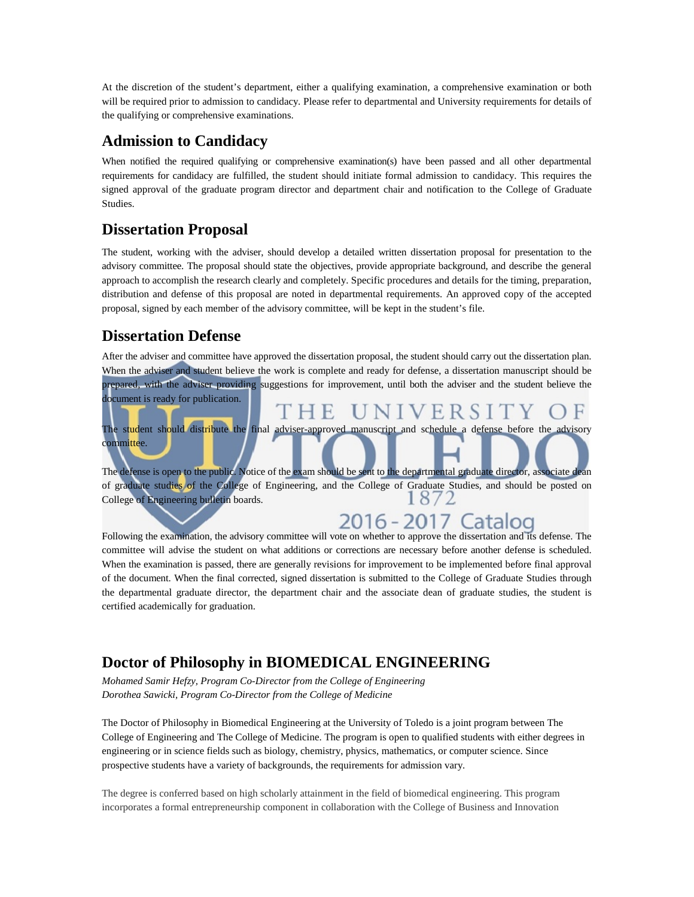At the discretion of the student's department, either a qualifying examination, a comprehensive examination or both will be required prior to admission to candidacy. Please refer to departmental and University requirements for details of the qualifying or comprehensive examinations.

## **Admission to Candidacy**

When notified the required qualifying or comprehensive examination(s) have been passed and all other departmental requirements for candidacy are fulfilled, the student should initiate formal admission to candidacy. This requires the signed approval of the graduate program director and department chair and notification to the College of Graduate Studies.

## **Dissertation Proposal**

The student, working with the adviser, should develop a detailed written dissertation proposal for presentation to the advisory committee. The proposal should state the objectives, provide appropriate background, and describe the general approach to accomplish the research clearly and completely. Specific procedures and details for the timing, preparation, distribution and defense of this proposal are noted in departmental requirements. An approved copy of the accepted proposal, signed by each member of the advisory committee, will be kept in the student's file.

## **Dissertation Defense**

After the adviser and committee have approved the dissertation proposal, the student should carry out the dissertation plan. When the adviser and student believe the work is complete and ready for defense, a dissertation manuscript should be prepared, with the adviser providing suggestions for improvement, until both the adviser and the student believe the document is ready for publication.

ERSI The student should distribute the final adviser-approved manuscript and schedule a defense before the advisory committee.

The defense is open to the public. Notice of the exam should be sent to the departmental graduate director, associate dean of graduate studies of the College of Engineering, and the College of Graduate Studies, and should be posted on College of Engineering bulletin boards.  $8/2$ 

> 2016 - 2017 Catalog

Following the examination, the advisory committee will vote on whether to approve the dissertation and its defense. The committee will advise the student on what additions or corrections are necessary before another defense is scheduled. When the examination is passed, there are generally revisions for improvement to be implemented before final approval of the document. When the final corrected, signed dissertation is submitted to the College of Graduate Studies through the departmental graduate director, the department chair and the associate dean of graduate studies, the student is certified academically for graduation.

## **Doctor of Philosophy in BIOMEDICAL ENGINEERING**

*Mohamed Samir Hefzy, Program Co-Director from the College of Engineering Dorothea Sawicki, Program Co-Director from the College of Medicine*

The Doctor of Philosophy in Biomedical Engineering at the University of Toledo is a joint program between The College of Engineering and The College of Medicine. The program is open to qualified students with either degrees in engineering or in science fields such as biology, chemistry, physics, mathematics, or computer science. Since prospective students have a variety of backgrounds, the requirements for admission vary.

The degree is conferred based on high scholarly attainment in the field of biomedical engineering. This program incorporates a formal entrepreneurship component in collaboration with the College of Business and Innovation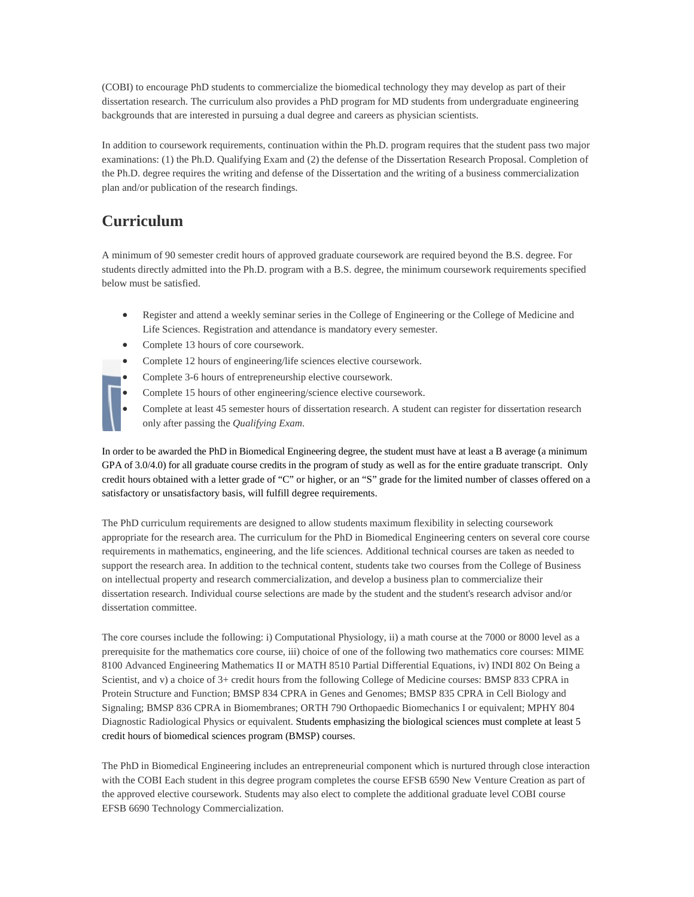(COBI) to encourage PhD students to commercialize the biomedical technology they may develop as part of their dissertation research. The curriculum also provides a PhD program for MD students from undergraduate engineering backgrounds that are interested in pursuing a dual degree and careers as physician scientists.

In addition to coursework requirements, continuation within the Ph.D. program requires that the student pass two major examinations: (1) the Ph.D. Qualifying Exam and (2) the defense of the Dissertation Research Proposal. Completion of the Ph.D. degree requires the writing and defense of the Dissertation and the writing of a business commercialization plan and/or publication of the research findings.

## **Curriculum**

A minimum of 90 semester credit hours of approved graduate coursework are required beyond the B.S. degree. For students directly admitted into the Ph.D. program with a B.S. degree, the minimum coursework requirements specified below must be satisfied.

- Register and attend a weekly seminar series in the College of Engineering or the College of Medicine and Life Sciences. Registration and attendance is mandatory every semester.
- Complete 13 hours of core coursework.
- Complete 12 hours of engineering/life sciences elective coursework.
- Complete 3-6 hours of entrepreneurship elective coursework.
- Complete 15 hours of other engineering/science elective coursework.
- Complete at least 45 semester hours of dissertation research. A student can register for dissertation research only after passing the *Qualifying Exam*.

In order to be awarded the PhD in Biomedical Engineering degree, the student must have at least a B average (a minimum GPA of 3.0/4.0) for all graduate course credits in the program of study as well as for the entire graduate transcript. Only credit hours obtained with a letter grade of "C" or higher, or an "S" grade for the limited number of classes offered on a satisfactory or unsatisfactory basis, will fulfill degree requirements.

The PhD curriculum requirements are designed to allow students maximum flexibility in selecting coursework appropriate for the research area. The curriculum for the PhD in Biomedical Engineering centers on several core course requirements in mathematics, engineering, and the life sciences. Additional technical courses are taken as needed to support the research area. In addition to the technical content, students take two courses from the College of Business on intellectual property and research commercialization, and develop a business plan to commercialize their dissertation research. Individual course selections are made by the student and the student's research advisor and/or dissertation committee.

The core courses include the following: i) Computational Physiology, ii) a math course at the 7000 or 8000 level as a prerequisite for the mathematics core course, iii) choice of one of the following two mathematics core courses: MIME 8100 Advanced Engineering Mathematics II or MATH 8510 Partial Differential Equations, iv) INDI 802 On Being a Scientist, and v) a choice of 3+ credit hours from the following College of Medicine courses: BMSP 833 CPRA in Protein Structure and Function; BMSP 834 CPRA in Genes and Genomes; BMSP 835 CPRA in Cell Biology and Signaling; BMSP 836 CPRA in Biomembranes; ORTH 790 Orthopaedic Biomechanics I or equivalent; MPHY 804 Diagnostic Radiological Physics or equivalent. Students emphasizing the biological sciences must complete at least 5 credit hours of biomedical sciences program (BMSP) courses.

The PhD in Biomedical Engineering includes an entrepreneurial component which is nurtured through close interaction with the COBI Each student in this degree program completes the course EFSB 6590 New Venture Creation as part of the approved elective coursework. Students may also elect to complete the additional graduate level COBI course EFSB 6690 Technology Commercialization.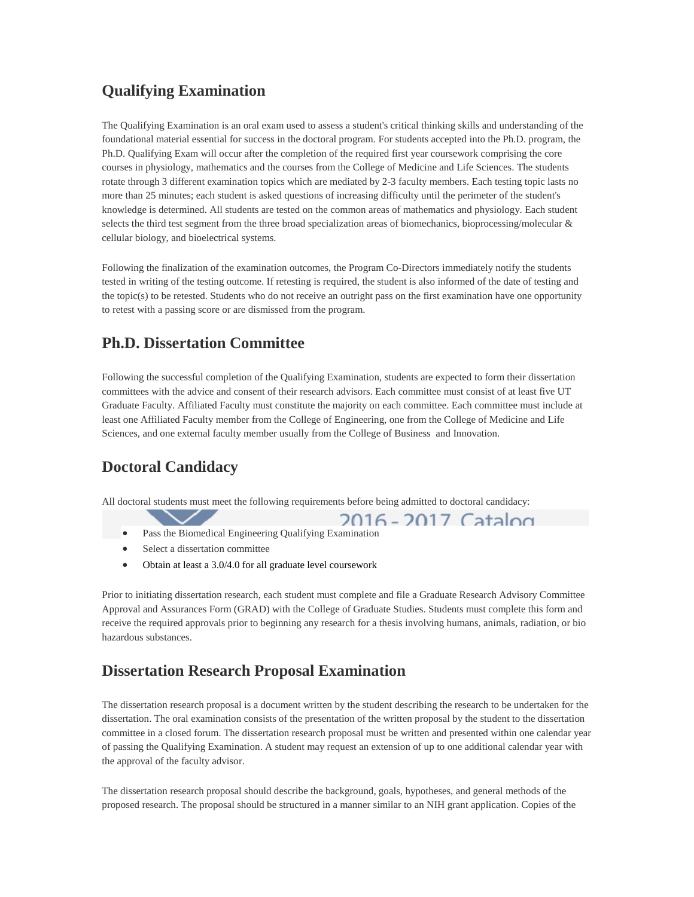## **Qualifying Examination**

The Qualifying Examination is an oral exam used to assess a student's critical thinking skills and understanding of the foundational material essential for success in the doctoral program. For students accepted into the Ph.D. program, the Ph.D. Qualifying Exam will occur after the completion of the required first year coursework comprising the core courses in physiology, mathematics and the courses from the College of Medicine and Life Sciences. The students rotate through 3 different examination topics which are mediated by 2-3 faculty members. Each testing topic lasts no more than 25 minutes; each student is asked questions of increasing difficulty until the perimeter of the student's knowledge is determined. All students are tested on the common areas of mathematics and physiology. Each student selects the third test segment from the three broad specialization areas of biomechanics, bioprocessing/molecular & cellular biology, and bioelectrical systems.

Following the finalization of the examination outcomes, the Program Co-Directors immediately notify the students tested in writing of the testing outcome. If retesting is required, the student is also informed of the date of testing and the topic(s) to be retested. Students who do not receive an outright pass on the first examination have one opportunity to retest with a passing score or are dismissed from the program.

## **Ph.D. Dissertation Committee**

Following the successful completion of the Qualifying Examination, students are expected to form their dissertation committees with the advice and consent of their research advisors. Each committee must consist of at least five UT Graduate Faculty. Affiliated Faculty must constitute the majority on each committee. Each committee must include at least one Affiliated Faculty member from the College of Engineering, one from the College of Medicine and Life Sciences, and one external faculty member usually from the College of Business and Innovation.

## **Doctoral Candidacy**

All doctoral students must meet the following requirements before being admitted to doctoral candidacy:

2016 - 2017 Catalog

- Pass the Biomedical Engineering Qualifying Examination
- Select a dissertation committee
- Obtain at least a 3.0/4.0 for all graduate level coursework

Prior to initiating dissertation research, each student must complete and file a Graduate Research Advisory Committee Approval and Assurances Form (GRAD) with the College of Graduate Studies. Students must complete this form and receive the required approvals prior to beginning any research for a thesis involving humans, animals, radiation, or bio hazardous substances.

#### **Dissertation Research Proposal Examination**

The dissertation research proposal is a document written by the student describing the research to be undertaken for the dissertation. The oral examination consists of the presentation of the written proposal by the student to the dissertation committee in a closed forum. The dissertation research proposal must be written and presented within one calendar year of passing the Qualifying Examination. A student may request an extension of up to one additional calendar year with the approval of the faculty advisor.

The dissertation research proposal should describe the background, goals, hypotheses, and general methods of the proposed research. The proposal should be structured in a manner similar to an NIH grant application. Copies of the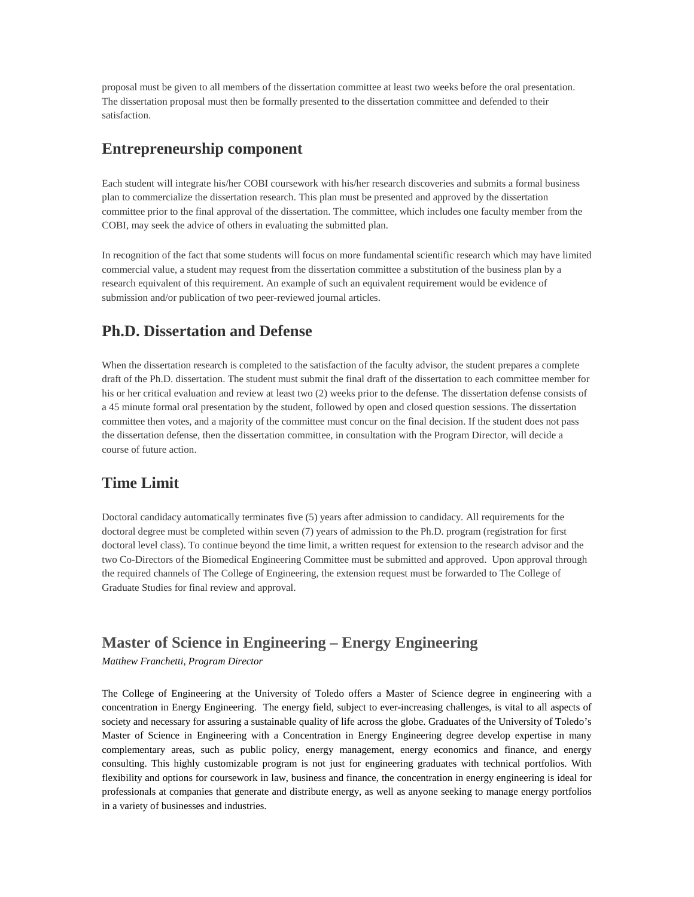proposal must be given to all members of the dissertation committee at least two weeks before the oral presentation. The dissertation proposal must then be formally presented to the dissertation committee and defended to their satisfaction.

#### **Entrepreneurship component**

Each student will integrate his/her COBI coursework with his/her research discoveries and submits a formal business plan to commercialize the dissertation research. This plan must be presented and approved by the dissertation committee prior to the final approval of the dissertation. The committee, which includes one faculty member from the COBI, may seek the advice of others in evaluating the submitted plan.

In recognition of the fact that some students will focus on more fundamental scientific research which may have limited commercial value, a student may request from the dissertation committee a substitution of the business plan by a research equivalent of this requirement. An example of such an equivalent requirement would be evidence of submission and/or publication of two peer-reviewed journal articles.

## **Ph.D. Dissertation and Defense**

When the dissertation research is completed to the satisfaction of the faculty advisor, the student prepares a complete draft of the Ph.D. dissertation. The student must submit the final draft of the dissertation to each committee member for his or her critical evaluation and review at least two (2) weeks prior to the defense. The dissertation defense consists of a 45 minute formal oral presentation by the student, followed by open and closed question sessions. The dissertation committee then votes, and a majority of the committee must concur on the final decision. If the student does not pass the dissertation defense, then the dissertation committee, in consultation with the Program Director, will decide a course of future action.

## **Time Limit**

Doctoral candidacy automatically terminates five (5) years after admission to candidacy. All requirements for the doctoral degree must be completed within seven (7) years of admission to the Ph.D. program (registration for first doctoral level class). To continue beyond the time limit, a written request for extension to the research advisor and the two Co-Directors of the Biomedical Engineering Committee must be submitted and approved. Upon approval through the required channels of The College of Engineering, the extension request must be forwarded to The College of Graduate Studies for final review and approval.

#### **Master of Science in Engineering – Energy Engineering**

*Matthew Franchetti, Program Director* 

The College of Engineering at the University of Toledo offers a Master of Science degree in engineering with a concentration in Energy Engineering. The energy field, subject to ever-increasing challenges, is vital to all aspects of society and necessary for assuring a sustainable quality of life across the globe. Graduates of the University of Toledo's Master of Science in Engineering with a Concentration in Energy Engineering degree develop expertise in many complementary areas, such as public policy, energy management, energy economics and finance, and energy consulting. This highly customizable program is not just for engineering graduates with technical portfolios. With flexibility and options for coursework in law, business and finance, the concentration in energy engineering is ideal for professionals at companies that generate and distribute energy, as well as anyone seeking to manage energy portfolios in a variety of businesses and industries.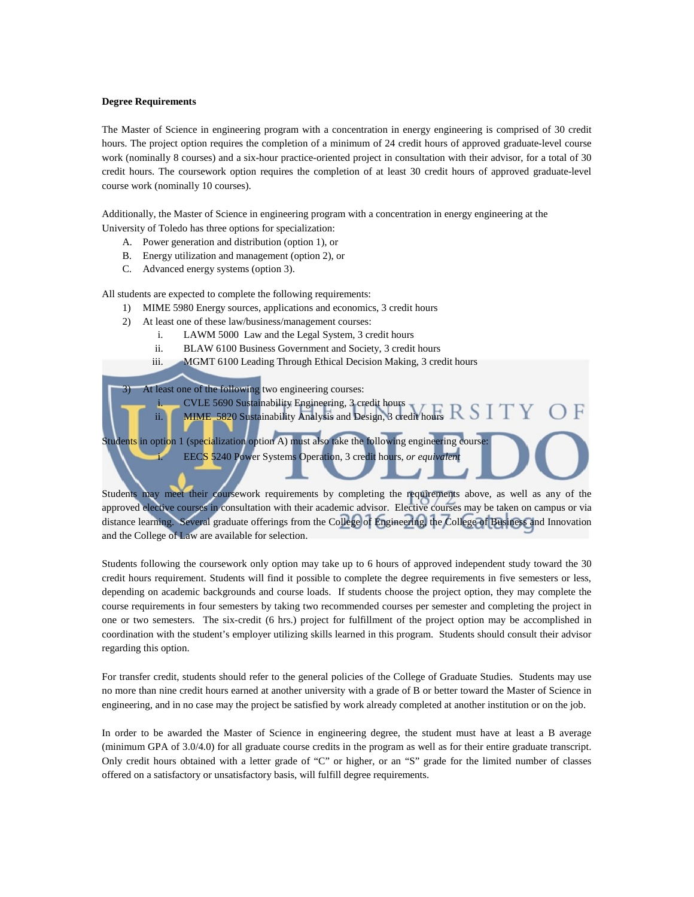#### **Degree Requirements**

The Master of Science in engineering program with a concentration in energy engineering is comprised of 30 credit hours. The project option requires the completion of a minimum of 24 credit hours of approved graduate-level course work (nominally 8 courses) and a six-hour practice-oriented project in consultation with their advisor, for a total of 30 credit hours. The coursework option requires the completion of at least 30 credit hours of approved graduate-level course work (nominally 10 courses).

Additionally, the Master of Science in engineering program with a concentration in energy engineering at the University of Toledo has three options for specialization:

- A. Power generation and distribution (option 1), or
- B. Energy utilization and management (option 2), or
- C. Advanced energy systems (option 3).

All students are expected to complete the following requirements:

- 1) MIME 5980 Energy sources, applications and economics, 3 credit hours
- 2) At least one of these law/business/management courses:
	- i. LAWM 5000 Law and the Legal System, 3 credit hours
	- ii. BLAW 6100 Business Government and Society, 3 credit hours
	- iii. MGMT 6100 Leading Through Ethical Decision Making, 3 credit hours

3) At least one of the following two engineering courses:

i. CVLE 5690 Sustainability Engineering, 3 credit hours ii. MIME 5820 Sustainability Analysis and Design, 3 credit hours  $\operatorname{RSST}$ 

Students in option 1 (specialization option A) must also take the following engineering course: i. EECS 5240 Power Systems Operation, 3 credit hours, *or equivalent*

Students may meet their coursework requirements by completing the requirements above, as well as any of the approved elective courses in consultation with their academic advisor. Elective courses may be taken on campus or via distance learning. Several graduate offerings from the College of Engineering, the College of Business and Innovation and the College of Law are available for selection.

Students following the coursework only option may take up to 6 hours of approved independent study toward the 30 credit hours requirement. Students will find it possible to complete the degree requirements in five semesters or less, depending on academic backgrounds and course loads. If students choose the project option, they may complete the course requirements in four semesters by taking two recommended courses per semester and completing the project in one or two semesters. The six-credit (6 hrs.) project for fulfillment of the project option may be accomplished in coordination with the student's employer utilizing skills learned in this program. Students should consult their advisor regarding this option.

For transfer credit, students should refer to the general policies of the College of Graduate Studies. Students may use no more than nine credit hours earned at another university with a grade of B or better toward the Master of Science in engineering, and in no case may the project be satisfied by work already completed at another institution or on the job.

In order to be awarded the Master of Science in engineering degree, the student must have at least a B average (minimum GPA of 3.0/4.0) for all graduate course credits in the program as well as for their entire graduate transcript. Only credit hours obtained with a letter grade of "C" or higher, or an "S" grade for the limited number of classes offered on a satisfactory or unsatisfactory basis, will fulfill degree requirements.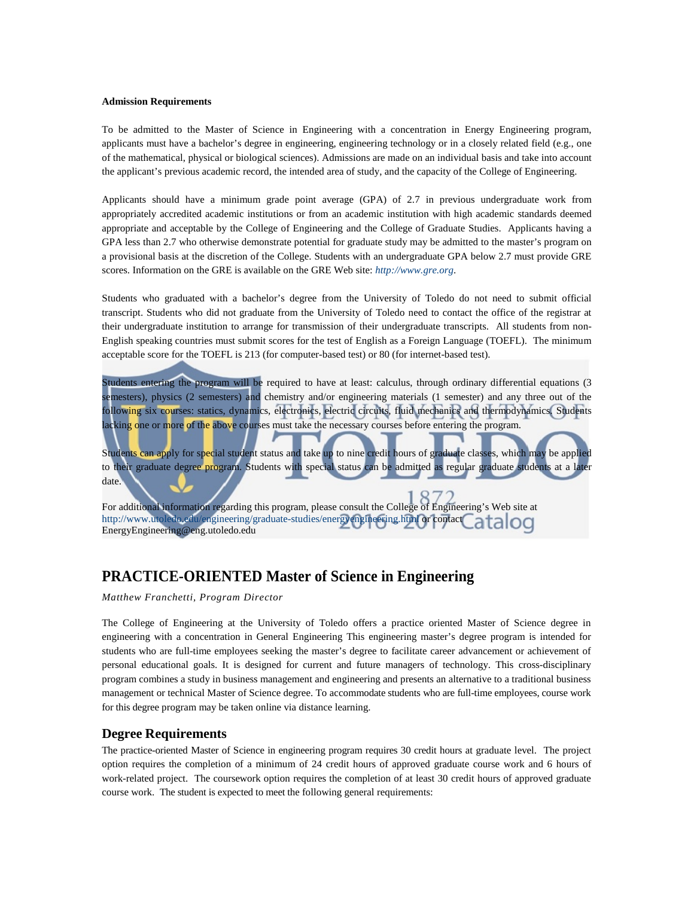#### **Admission Requirements**

To be admitted to the Master of Science in Engineering with a concentration in Energy Engineering program, applicants must have a bachelor's degree in engineering, engineering technology or in a closely related field (e.g., one of the mathematical, physical or biological sciences). Admissions are made on an individual basis and take into account the applicant's previous academic record, the intended area of study, and the capacity of the College of Engineering.

Applicants should have a minimum grade point average (GPA) of 2.7 in previous undergraduate work from appropriately accredited academic institutions or from an academic institution with high academic standards deemed appropriate and acceptable by the College of Engineering and the College of Graduate Studies. Applicants having a GPA less than 2.7 who otherwise demonstrate potential for graduate study may be admitted to the master's program on a provisional basis at the discretion of the College. Students with an undergraduate GPA below 2.7 must provide GRE scores. Information on the GRE is available on the GRE Web site: *[http://www.gre.org](http://www.gre.org/)*.

Students who graduated with a bachelor's degree from the University of Toledo do not need to submit official transcript. Students who did not graduate from the University of Toledo need to contact the office of the registrar at their undergraduate institution to arrange for transmission of their undergraduate transcripts. All students from non-English speaking countries must submit scores for the test of English as a Foreign Language (TOEFL). The minimum acceptable score for the TOEFL is 213 (for computer-based test) or 80 (for internet-based test).

Students entering the program will be required to have at least: calculus, through ordinary differential equations (3 semesters), physics (2 semesters) and chemistry and/or engineering materials (1 semester) and any three out of the following six courses: statics, dynamics, electronics, electric circuits, fluid mechanics and thermodynamics. Students lacking one or more of the above courses must take the necessary courses before entering the program.

Students can apply for special student status and take up to nine credit hours of graduate classes, which may be applied to their graduate degree program. Students with special status can be admitted as regular graduate students at a later date.

For additional information regarding this program, please consult the College of Engineering's Web site at http://www.utoledo.edu/engineering/graduate-studies/energyengineering.html or contact atalog EnergyEngineering@eng.utoledo.edu

#### **PRACTICE-ORIENTED Master of Science in Engineering**

*Matthew Franchetti, Program Director*

The College of Engineering at the University of Toledo offers a practice oriented Master of Science degree in engineering with a concentration in General Engineering This engineering master's degree program is intended for students who are full-time employees seeking the master's degree to facilitate career advancement or achievement of personal educational goals. It is designed for current and future managers of technology. This cross-disciplinary program combines a study in business management and engineering and presents an alternative to a traditional business management or technical Master of Science degree. To accommodate students who are full-time employees, course work for this degree program may be taken online via distance learning.

#### **Degree Requirements**

The practice-oriented Master of Science in engineering program requires 30 credit hours at graduate level. The project option requires the completion of a minimum of 24 credit hours of approved graduate course work and 6 hours of work-related project. The coursework option requires the completion of at least 30 credit hours of approved graduate course work. The student is expected to meet the following general requirements: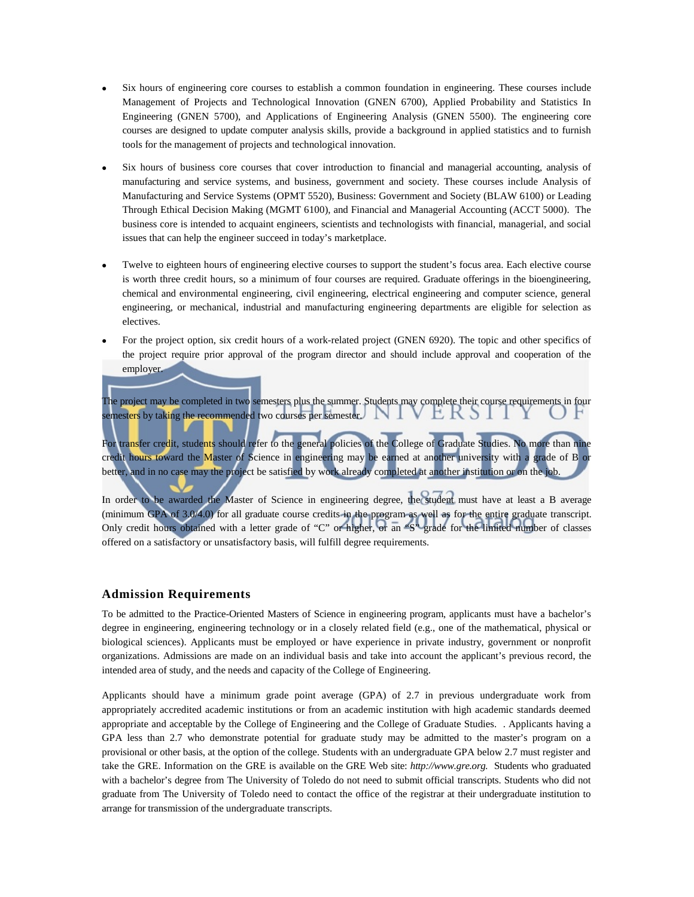- Six hours of engineering core courses to establish a common foundation in engineering. These courses include Management of Projects and Technological Innovation (GNEN 6700), Applied Probability and Statistics In Engineering (GNEN 5700), and Applications of Engineering Analysis (GNEN 5500). The engineering core courses are designed to update computer analysis skills, provide a background in applied statistics and to furnish tools for the management of projects and technological innovation.
- Six hours of business core courses that cover introduction to financial and managerial accounting, analysis of manufacturing and service systems, and business, government and society. These courses include Analysis of Manufacturing and Service Systems (OPMT 5520), Business: Government and Society (BLAW 6100) or Leading Through Ethical Decision Making (MGMT 6100), and Financial and Managerial Accounting (ACCT 5000). The business core is intended to acquaint engineers, scientists and technologists with financial, managerial, and social issues that can help the engineer succeed in today's marketplace.
- Twelve to eighteen hours of engineering elective courses to support the student's focus area. Each elective course is worth three credit hours, so a minimum of four courses are required. Graduate offerings in the bioengineering, chemical and environmental engineering, civil engineering, electrical engineering and computer science, general engineering, or mechanical, industrial and manufacturing engineering departments are eligible for selection as electives.
- For the project option, six credit hours of a work-related project (GNEN 6920). The topic and other specifics of the project require prior approval of the program director and should include approval and cooperation of the employer.

The project may be completed in two semesters plus the summer. Students may complete their course requirements in four semesters by taking the recommended two courses per semester. EK<sub>2</sub>I

For transfer credit, students should refer to the general policies of the College of Graduate Studies. No more than nine credit hours toward the Master of Science in engineering may be earned at another university with a grade of B or better, and in no case may the project be satisfied by work already completed at another institution or on the job.

In order to be awarded the Master of Science in engineering degree, the student must have at least a B average (minimum GPA of 3.0/4.0) for all graduate course credits in the program as well as for the entire graduate transcript. Only credit hours obtained with a letter grade of "C" or higher, or an "S" grade for the limited number of classes offered on a satisfactory or unsatisfactory basis, will fulfill degree requirements.

#### **Admission Requirements**

To be admitted to the Practice-Oriented Masters of Science in engineering program, applicants must have a bachelor's degree in engineering, engineering technology or in a closely related field (e.g., one of the mathematical, physical or biological sciences). Applicants must be employed or have experience in private industry, government or nonprofit organizations. Admissions are made on an individual basis and take into account the applicant's previous record, the intended area of study, and the needs and capacity of the College of Engineering.

Applicants should have a minimum grade point average (GPA) of 2.7 in previous undergraduate work from appropriately accredited academic institutions or from an academic institution with high academic standards deemed appropriate and acceptable by the College of Engineering and the College of Graduate Studies. . Applicants having a GPA less than 2.7 who demonstrate potential for graduate study may be admitted to the master's program on a provisional or other basis, at the option of the college. Students with an undergraduate GPA below 2.7 must register and take the GRE. Information on the GRE is available on the GRE Web site: *http://www.gre.org.* Students who graduated with a bachelor's degree from The University of Toledo do not need to submit official transcripts. Students who did not graduate from The University of Toledo need to contact the office of the registrar at their undergraduate institution to arrange for transmission of the undergraduate transcripts.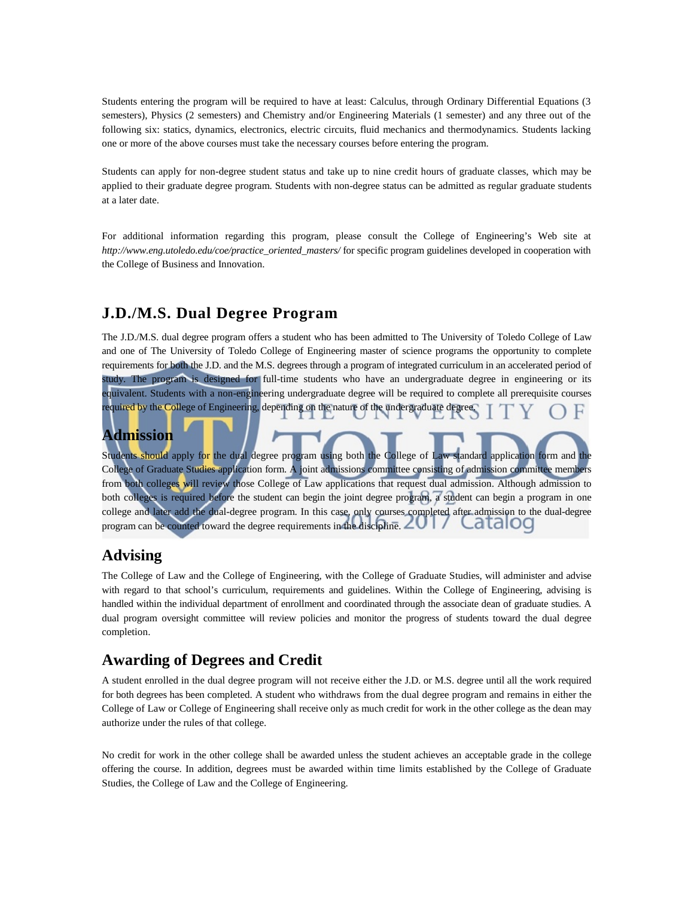Students entering the program will be required to have at least: Calculus, through Ordinary Differential Equations (3 semesters), Physics (2 semesters) and Chemistry and/or Engineering Materials (1 semester) and any three out of the following six: statics, dynamics, electronics, electric circuits, fluid mechanics and thermodynamics. Students lacking one or more of the above courses must take the necessary courses before entering the program.

Students can apply for non-degree student status and take up to nine credit hours of graduate classes, which may be applied to their graduate degree program. Students with non-degree status can be admitted as regular graduate students at a later date.

For additional information regarding this program, please consult the College of Engineering's Web site at *http://www.eng.utoledo.edu/coe/practice\_oriented\_masters/* for specific program guidelines developed in cooperation with the College of Business and Innovation.

## **J.D./M.S. Dual Degree Program**

The J.D./M.S. dual degree program offers a student who has been admitted to The University of Toledo College of Law and one of The University of Toledo College of Engineering master of science programs the opportunity to complete requirements for both the J.D. and the M.S. degrees through a program of integrated curriculum in an accelerated period of study. The program is designed for full-time students who have an undergraduate degree in engineering or its equivalent. Students with a non-engineering undergraduate degree will be required to complete all prerequisite courses required by the College of Engineering, depending on the nature of the undergraduate degree.

#### **Admission**

Students should apply for the dual degree program using both the College of Law standard application form and the College of Graduate Studies application form. A joint admissions committee consisting of admission committee members from both colleges will review those College of Law applications that request dual admission. Although admission to both colleges is required before the student can begin the joint degree program, a student can begin a program in one college and later add the dual-degree program. In this case, only courses completed after admission to the dual-degree program can be counted toward the degree requirements in the discipline.  $\angle \bigcup$ Latalog

#### **Advising**

The College of Law and the College of Engineering, with the College of Graduate Studies, will administer and advise with regard to that school's curriculum, requirements and guidelines. Within the College of Engineering, advising is handled within the individual department of enrollment and coordinated through the associate dean of graduate studies. A dual program oversight committee will review policies and monitor the progress of students toward the dual degree completion.

#### **Awarding of Degrees and Credit**

A student enrolled in the dual degree program will not receive either the J.D. or M.S. degree until all the work required for both degrees has been completed. A student who withdraws from the dual degree program and remains in either the College of Law or College of Engineering shall receive only as much credit for work in the other college as the dean may authorize under the rules of that college.

No credit for work in the other college shall be awarded unless the student achieves an acceptable grade in the college offering the course. In addition, degrees must be awarded within time limits established by the College of Graduate Studies, the College of Law and the College of Engineering.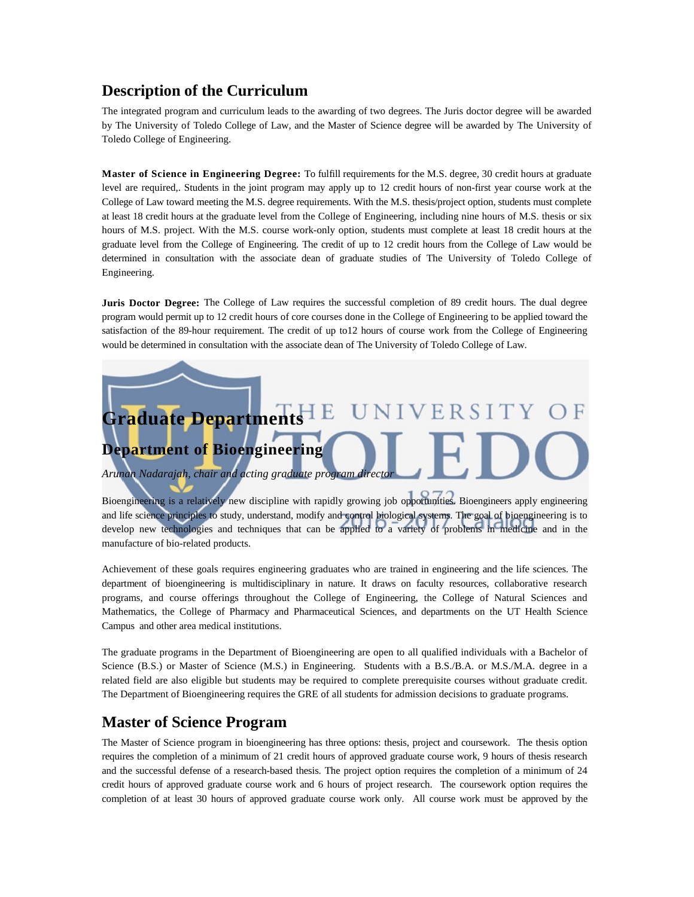## **Description of the Curriculum**

The integrated program and curriculum leads to the awarding of two degrees. The Juris doctor degree will be awarded by The University of Toledo College of Law, and the Master of Science degree will be awarded by The University of Toledo College of Engineering.

**Master of Science in Engineering Degree:** To fulfill requirements for the M.S. degree, 30 credit hours at graduate level are required,. Students in the joint program may apply up to 12 credit hours of non-first year course work at the College of Law toward meeting the M.S. degree requirements. With the M.S. thesis/project option, students must complete at least 18 credit hours at the graduate level from the College of Engineering, including nine hours of M.S. thesis or six hours of M.S. project. With the M.S. course work-only option, students must complete at least 18 credit hours at the graduate level from the College of Engineering. The credit of up to 12 credit hours from the College of Law would be determined in consultation with the associate dean of graduate studies of The University of Toledo College of Engineering.

**Juris Doctor Degree:** The College of Law requires the successful completion of 89 credit hours. The dual degree program would permit up to 12 credit hours of core courses done in the College of Engineering to be applied toward the satisfaction of the 89-hour requirement. The credit of up to12 hours of course work from the College of Engineering would be determined in consultation with the associate dean of The University of Toledo College of Law.

# U **JIVERSIT Graduate Departments Department of Bioengineering** *Arunan Nadarajah, chair and acting graduate program director*

Bioengineering is a relatively new discipline with rapidly growing job opportunities. Bioengineers apply engineering and life science principles to study, understand, modify and control biological systems. The goal of bioengineering is to develop new technologies and techniques that can be applied to a variety of problems in medicine and in the manufacture of bio-related products.

Achievement of these goals requires engineering graduates who are trained in engineering and the life sciences. The department of bioengineering is multidisciplinary in nature. It draws on faculty resources, collaborative research programs, and course offerings throughout the College of Engineering, the College of Natural Sciences and Mathematics, the College of Pharmacy and Pharmaceutical Sciences, and departments on the UT Health Science Campus and other area medical institutions.

The graduate programs in the Department of Bioengineering are open to all qualified individuals with a Bachelor of Science (B.S.) or Master of Science (M.S.) in Engineering. Students with a B.S./B.A. or M.S./M.A. degree in a related field are also eligible but students may be required to complete prerequisite courses without graduate credit. The Department of Bioengineering requires the GRE of all students for admission decisions to graduate programs.

## **Master of Science Program**

The Master of Science program in bioengineering has three options: thesis, project and coursework. The thesis option requires the completion of a minimum of 21 credit hours of approved graduate course work, 9 hours of thesis research and the successful defense of a research-based thesis. The project option requires the completion of a minimum of 24 credit hours of approved graduate course work and 6 hours of project research. The coursework option requires the completion of at least 30 hours of approved graduate course work only. All course work must be approved by the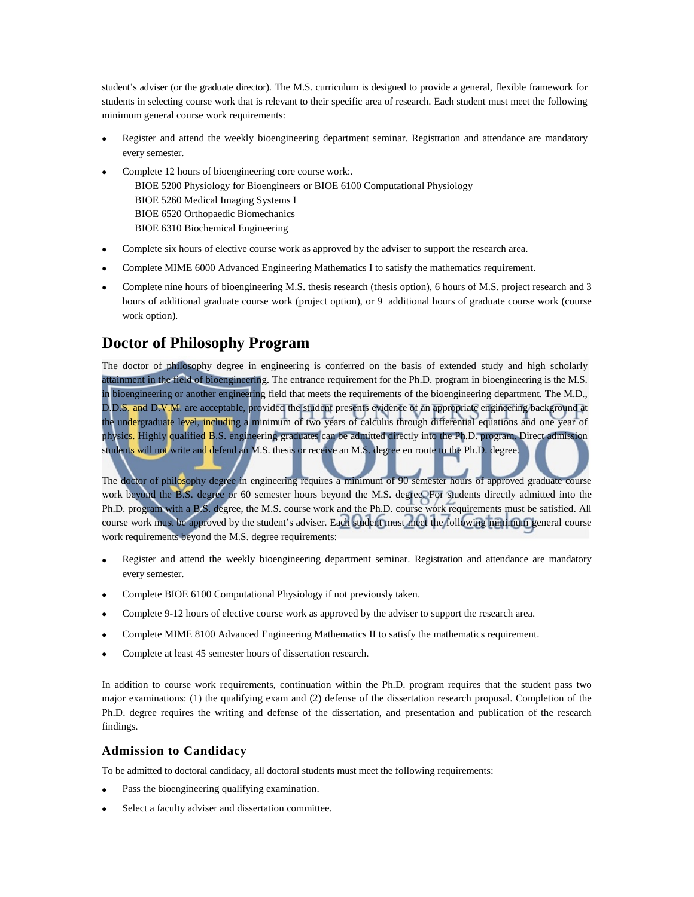student's adviser (or the graduate director). The M.S. curriculum is designed to provide a general, flexible framework for students in selecting course work that is relevant to their specific area of research. Each student must meet the following minimum general course work requirements:

- Register and attend the weekly bioengineering department seminar. Registration and attendance are mandatory every semester.
- Complete 12 hours of bioengineering core course work:. BIOE 5200 Physiology for Bioengineers or BIOE 6100 Computational Physiology BIOE 5260 Medical Imaging Systems I BIOE 6520 Orthopaedic Biomechanics BIOE 6310 Biochemical Engineering
- Complete six hours of elective course work as approved by the adviser to support the research area.
- Complete MIME 6000 Advanced Engineering Mathematics I to satisfy the mathematics requirement.
- Complete nine hours of bioengineering M.S. thesis research (thesis option), 6 hours of M.S. project research and 3 hours of additional graduate course work (project option), or 9 additional hours of graduate course work (course work option).

#### **Doctor of Philosophy Program**

The doctor of philosophy degree in engineering is conferred on the basis of extended study and high scholarly attainment in the field of bioengineering. The entrance requirement for the Ph.D. program in bioengineering is the M.S. in bioengineering or another engineering field that meets the requirements of the bioengineering department. The M.D., D.D.S. and D.V.M. are acceptable, provided the student presents evidence of an appropriate engineering background at the undergraduate level, including a minimum of two years of calculus through differential equations and one year of physics. Highly qualified B.S. engineering graduates can be admitted directly into the Ph.D. program. Direct admission students will not write and defend an M.S. thesis or receive an M.S. degree en route to the Ph.D. degree.

The doctor of philosophy degree in engineering requires a minimum of 90 semester hours of approved graduate course work beyond the B.S. degree or 60 semester hours beyond the M.S. degree. For students directly admitted into the Ph.D. program with a B.S. degree, the M.S. course work and the Ph.D. course work requirements must be satisfied. All course work must be approved by the student's adviser. Each student must meet the following minimum general course work requirements beyond the M.S. degree requirements:

- Register and attend the weekly bioengineering department seminar. Registration and attendance are mandatory every semester.
- Complete BIOE 6100 Computational Physiology if not previously taken.
- Complete 9-12 hours of elective course work as approved by the adviser to support the research area.
- Complete MIME 8100 Advanced Engineering Mathematics II to satisfy the mathematics requirement.
- Complete at least 45 semester hours of dissertation research.

In addition to course work requirements, continuation within the Ph.D. program requires that the student pass two major examinations: (1) the qualifying exam and (2) defense of the dissertation research proposal. Completion of the Ph.D. degree requires the writing and defense of the dissertation, and presentation and publication of the research findings.

#### **Admission to Candidacy**

To be admitted to doctoral candidacy, all doctoral students must meet the following requirements:

- Pass the bioengineering qualifying examination.
- Select a faculty adviser and dissertation committee.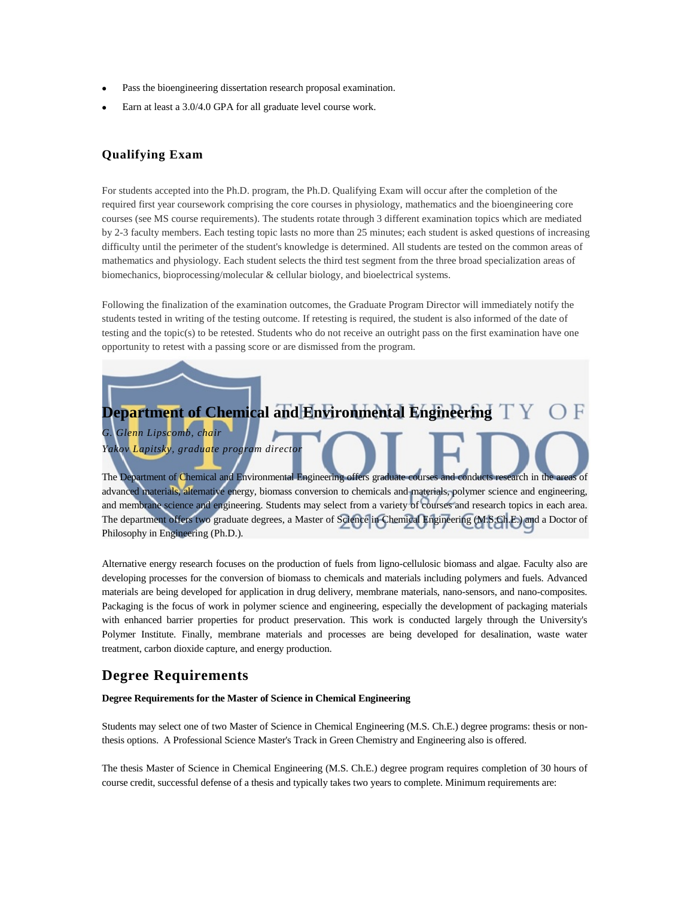- Pass the bioengineering dissertation research proposal examination.
- Earn at least a 3.0/4.0 GPA for all graduate level course work.

#### **Qualifying Exam**

For students accepted into the Ph.D. program, the Ph.D. Qualifying Exam will occur after the completion of the required first year coursework comprising the core courses in physiology, mathematics and the bioengineering core courses (see MS course requirements). The students rotate through 3 different examination topics which are mediated by 2-3 faculty members. Each testing topic lasts no more than 25 minutes; each student is asked questions of increasing difficulty until the perimeter of the student's knowledge is determined. All students are tested on the common areas of mathematics and physiology. Each student selects the third test segment from the three broad specialization areas of biomechanics, bioprocessing/molecular & cellular biology, and bioelectrical systems.

Following the finalization of the examination outcomes, the Graduate Program Director will immediately notify the students tested in writing of the testing outcome. If retesting is required, the student is also informed of the date of testing and the topic(s) to be retested. Students who do not receive an outright pass on the first examination have one opportunity to retest with a passing score or are dismissed from the program.

## **Department of Chemical and Environmental Engineering** *G. Glenn Lipscomb, chair*

*Yakov Lapitsky, graduate program director* The Department of Chemical and Environmental Engineering offers graduate courses and conducts research in the

advanced materials, alternative energy, biomass conversion to chemicals and materials, polymer science and engineering, and membrane science and engineering. Students may select from a variety of courses and research topics in each area. The department offers two graduate degrees, a Master of Science in Chemical Engineering (M.S.Ch.E.) and a Doctor of Philosophy in Engineering (Ph.D.).

Alternative energy research focuses on the production of fuels from ligno-cellulosic biomass and algae. Faculty also are developing processes for the conversion of biomass to chemicals and materials including polymers and fuels. Advanced materials are being developed for application in drug delivery, membrane materials, nano-sensors, and nano-composites. Packaging is the focus of work in polymer science and engineering, especially the development of packaging materials with enhanced barrier properties for product preservation. This work is conducted largely through the University's Polymer Institute. Finally, membrane materials and processes are being developed for desalination, waste water treatment, carbon dioxide capture, and energy production.

#### **Degree Requirements**

#### **Degree Requirements for the Master of Science in Chemical Engineering**

Students may select one of two Master of Science in Chemical Engineering (M.S. Ch.E.) degree programs: thesis or nonthesis options. A Professional Science Master's Track in Green Chemistry and Engineering also is offered.

The thesis Master of Science in Chemical Engineering (M.S. Ch.E.) degree program requires completion of 30 hours of course credit, successful defense of a thesis and typically takes two years to complete. Minimum requirements are: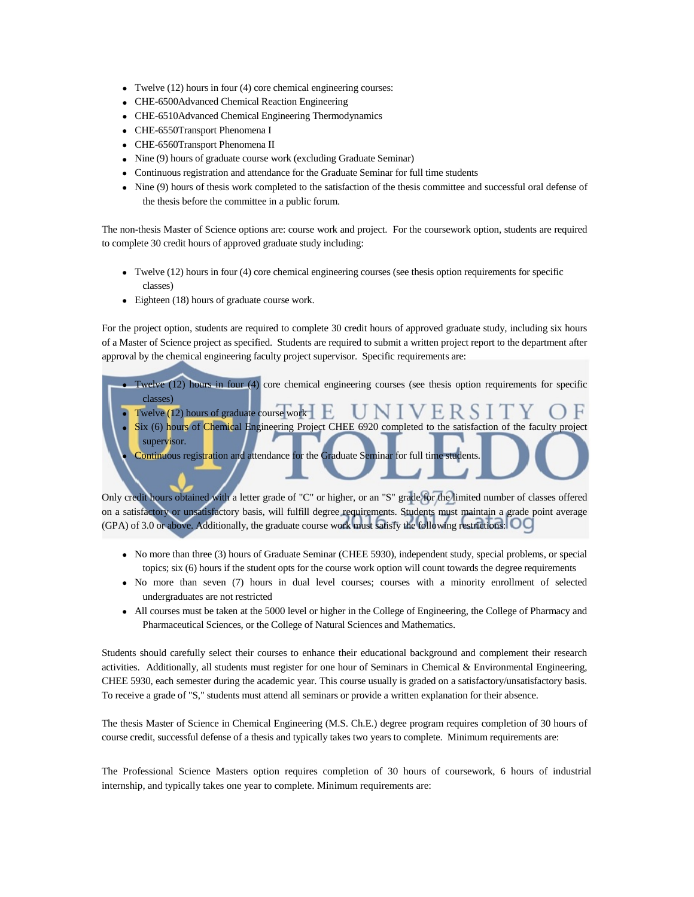- Twelve (12) hours in four (4) core chemical engineering courses:
- CHE-6500Advanced Chemical Reaction Engineering
- CHE-6510Advanced Chemical Engineering Thermodynamics
- CHE-6550Transport Phenomena I
- CHE-6560Transport Phenomena II
- Nine (9) hours of graduate course work (excluding Graduate Seminar)
- Continuous registration and attendance for the Graduate Seminar for full time students
- Nine (9) hours of thesis work completed to the satisfaction of the thesis committee and successful oral defense of the thesis before the committee in a public forum.

The non-thesis Master of Science options are: course work and project. For the coursework option, students are required to complete 30 credit hours of approved graduate study including:

- Twelve (12) hours in four (4) core chemical engineering courses (see thesis option requirements for specific classes)
- Eighteen (18) hours of graduate course work.

For the project option, students are required to complete 30 credit hours of approved graduate study, including six hours of a Master of Science project as specified. Students are required to submit a written project report to the department after approval by the chemical engineering faculty project supervisor. Specific requirements are:

• Twelve (12) hours in four (4) core chemical engineering courses (see thesis option requirements for specific classes)

- Twelve  $(12)$  hours of graduate course work • Six (6) hours of Chemical Engineering Project CHEE 6920 completed to the satisfaction of the faculty project
	- supervisor. Continuous registration and attendance for the Graduate Seminar for full time students.

Only credit hours obtained with a letter grade of "C" or higher, or an "S" grade for the limited number of classes offered on a satisfactory or unsatisfactory basis, will fulfill degree requirements. Students must maintain a grade point average (GPA) of 3.0 or above. Additionally, the graduate course work must satisfy the following restrictions:

- No more than three (3) hours of Graduate Seminar (CHEE 5930), independent study, special problems, or special topics; six (6) hours if the student opts for the course work option will count towards the degree requirements
- No more than seven (7) hours in dual level courses; courses with a minority enrollment of selected undergraduates are not restricted
- All courses must be taken at the 5000 level or higher in the College of Engineering, the College of Pharmacy and Pharmaceutical Sciences, or the College of Natural Sciences and Mathematics.

Students should carefully select their courses to enhance their educational background and complement their research activities. Additionally, all students must register for one hour of Seminars in Chemical & Environmental Engineering, CHEE 5930, each semester during the academic year. This course usually is graded on a satisfactory/unsatisfactory basis. To receive a grade of "S," students must attend all seminars or provide a written explanation for their absence.

The thesis Master of Science in Chemical Engineering (M.S. Ch.E.) degree program requires completion of 30 hours of course credit, successful defense of a thesis and typically takes two years to complete. Minimum requirements are:

The Professional Science Masters option requires completion of 30 hours of coursework, 6 hours of industrial internship, and typically takes one year to complete. Minimum requirements are: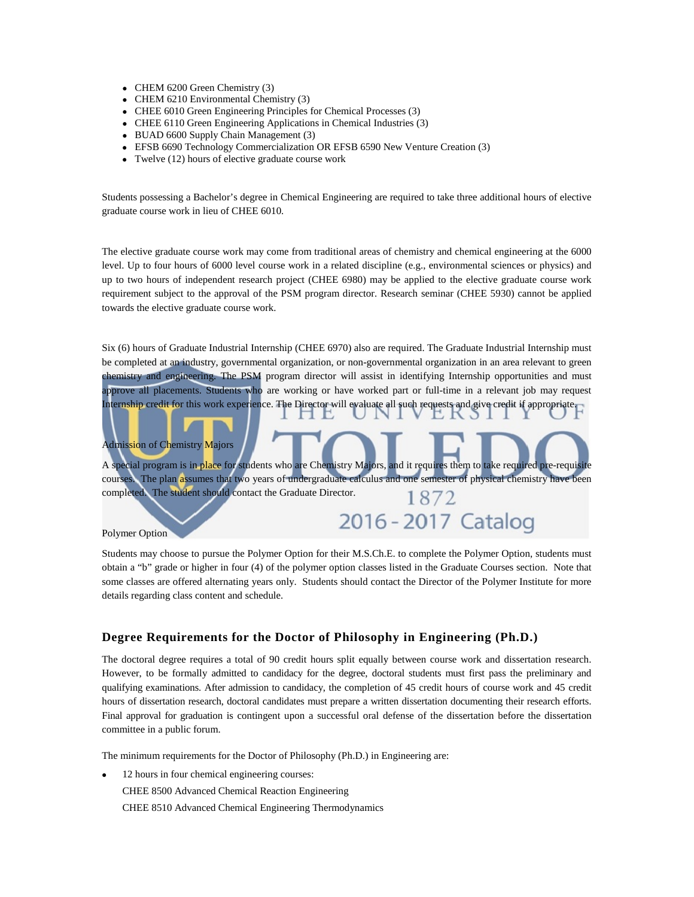- CHEM 6200 Green Chemistry (3)
- CHEM 6210 Environmental Chemistry (3)
- CHEE 6010 Green Engineering Principles for Chemical Processes (3)
- CHEE 6110 Green Engineering Applications in Chemical Industries (3)
- BUAD 6600 Supply Chain Management (3)
- EFSB 6690 Technology Commercialization OR EFSB 6590 New Venture Creation (3)
- Twelve (12) hours of elective graduate course work

Students possessing a Bachelor's degree in Chemical Engineering are required to take three additional hours of elective graduate course work in lieu of CHEE 6010.

The elective graduate course work may come from traditional areas of chemistry and chemical engineering at the 6000 level. Up to four hours of 6000 level course work in a related discipline (e.g., environmental sciences or physics) and up to two hours of independent research project (CHEE 6980) may be applied to the elective graduate course work requirement subject to the approval of the PSM program director. Research seminar (CHEE 5930) cannot be applied towards the elective graduate course work.

Six (6) hours of Graduate Industrial Internship (CHEE 6970) also are required. The Graduate Industrial Internship must be completed at an industry, governmental organization, or non-governmental organization in an area relevant to green chemistry and engineering. The PSM program director will assist in identifying Internship opportunities and must approve all placements. Students who are working or have worked part or full-time in a relevant job may request Internship credit for this work experience. The Director will evaluate all such requests and give credit if appropriate.

#### Admission of Chemistry Majors

A special program is in place for students who are Chemistry Majors, and it requires them to take required pre-requisite courses. The plan assumes that two years of undergraduate calculus and one semester of physical chemistry have been completed. The student should contact the Graduate Director. 1872

2016 - 2017 Catalog

#### Polymer Option

Students may choose to pursue the Polymer Option for their M.S.Ch.E. to complete the Polymer Option, students must obtain a "b" grade or higher in four (4) of the polymer option classes listed in the Graduate Courses section. Note that some classes are offered alternating years only. Students should contact the Director of the Polymer Institute for more details regarding class content and schedule.

#### **Degree Requirements for the Doctor of Philosophy in Engineering (Ph.D.)**

The doctoral degree requires a total of 90 credit hours split equally between course work and dissertation research. However, to be formally admitted to candidacy for the degree, doctoral students must first pass the preliminary and qualifying examinations. After admission to candidacy, the completion of 45 credit hours of course work and 45 credit hours of dissertation research, doctoral candidates must prepare a written dissertation documenting their research efforts. Final approval for graduation is contingent upon a successful oral defense of the dissertation before the dissertation committee in a public forum.

The minimum requirements for the Doctor of Philosophy (Ph.D.) in Engineering are:

12 hours in four chemical engineering courses: CHEE 8500 Advanced Chemical Reaction Engineering CHEE 8510 Advanced Chemical Engineering Thermodynamics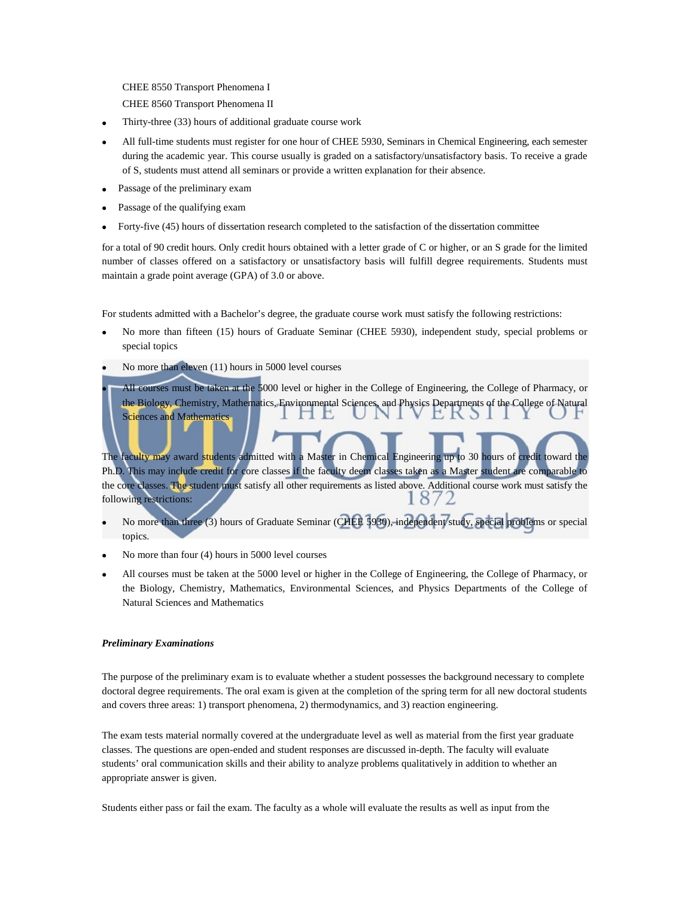CHEE 8550 Transport Phenomena I

CHEE 8560 Transport Phenomena II

- Thirty-three (33) hours of additional graduate course work
- All full-time students must register for one hour of CHEE 5930, Seminars in Chemical Engineering, each semester during the academic year. This course usually is graded on a satisfactory/unsatisfactory basis. To receive a grade of S, students must attend all seminars or provide a written explanation for their absence.
- Passage of the preliminary exam
- Passage of the qualifying exam
- Forty-five (45) hours of dissertation research completed to the satisfaction of the dissertation committee

for a total of 90 credit hours. Only credit hours obtained with a letter grade of C or higher, or an S grade for the limited number of classes offered on a satisfactory or unsatisfactory basis will fulfill degree requirements. Students must maintain a grade point average (GPA) of 3.0 or above.

For students admitted with a Bachelor's degree, the graduate course work must satisfy the following restrictions:

- No more than fifteen (15) hours of Graduate Seminar (CHEE 5930), independent study, special problems or special topics
- No more than eleven (11) hours in 5000 level courses

• All courses must be taken at the 5000 level or higher in the College of Engineering, the College of Pharmacy, or the Biology, Chemistry, Mathematics, Environmental Sciences, and Physics Departments of the College of Natural Sciences and Mathematics 1 F.  $\mathcal{L}$ 

The faculty may award students admitted with a Master in Chemical Engineering up to 30 hours of credit toward the Ph.D. This may include credit for core classes if the faculty deem classes taken as a Master student are comparable to the core classes. The student must satisfy all other requirements as listed above. Additional course work must satisfy the following restrictions:  $18/2$ 

- No more than three (3) hours of Graduate Seminar (CHEE 5930), independent study, special problems or special topics.
- No more than four (4) hours in 5000 level courses
- All courses must be taken at the 5000 level or higher in the College of Engineering, the College of Pharmacy, or the Biology, Chemistry, Mathematics, Environmental Sciences, and Physics Departments of the College of Natural Sciences and Mathematics

#### *Preliminary Examinations*

The purpose of the preliminary exam is to evaluate whether a student possesses the background necessary to complete doctoral degree requirements. The oral exam is given at the completion of the spring term for all new doctoral students and covers three areas: 1) transport phenomena, 2) thermodynamics, and 3) reaction engineering.

The exam tests material normally covered at the undergraduate level as well as material from the first year graduate classes. The questions are open-ended and student responses are discussed in-depth. The faculty will evaluate students' oral communication skills and their ability to analyze problems qualitatively in addition to whether an appropriate answer is given.

Students either pass or fail the exam. The faculty as a whole will evaluate the results as well as input from the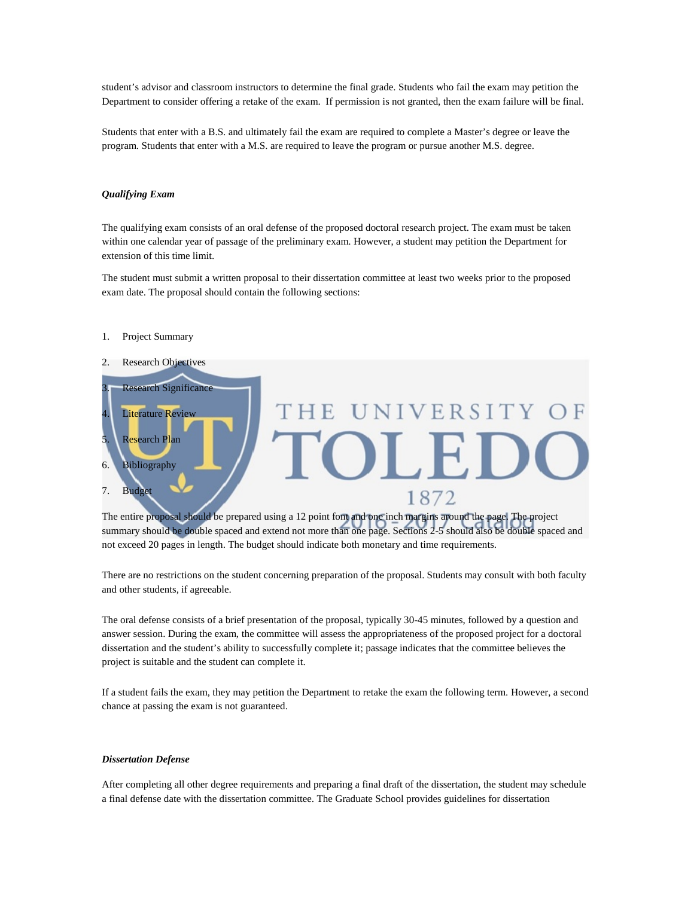student's advisor and classroom instructors to determine the final grade. Students who fail the exam may petition the Department to consider offering a retake of the exam. If permission is not granted, then the exam failure will be final.

Students that enter with a B.S. and ultimately fail the exam are required to complete a Master's degree or leave the program. Students that enter with a M.S. are required to leave the program or pursue another M.S. degree.

#### *Qualifying Exam*

The qualifying exam consists of an oral defense of the proposed doctoral research project. The exam must be taken within one calendar year of passage of the preliminary exam. However, a student may petition the Department for extension of this time limit.

The student must submit a written proposal to their dissertation committee at least two weeks prior to the proposed exam date. The proposal should contain the following sections:

#### 1. Project Summary



The entire proposal should be prepared using a 12 point font and one inch margins around the page. The project summary should be double spaced and extend not more than one page. Sections 2-5 should also be double spaced and not exceed 20 pages in length. The budget should indicate both monetary and time requirements.

There are no restrictions on the student concerning preparation of the proposal. Students may consult with both faculty and other students, if agreeable.

The oral defense consists of a brief presentation of the proposal, typically 30-45 minutes, followed by a question and answer session. During the exam, the committee will assess the appropriateness of the proposed project for a doctoral dissertation and the student's ability to successfully complete it; passage indicates that the committee believes the project is suitable and the student can complete it.

If a student fails the exam, they may petition the Department to retake the exam the following term. However, a second chance at passing the exam is not guaranteed.

#### *Dissertation Defense*

After completing all other degree requirements and preparing a final draft of the dissertation, the student may schedule a final defense date with the dissertation committee. The Graduate School provides guidelines for dissertation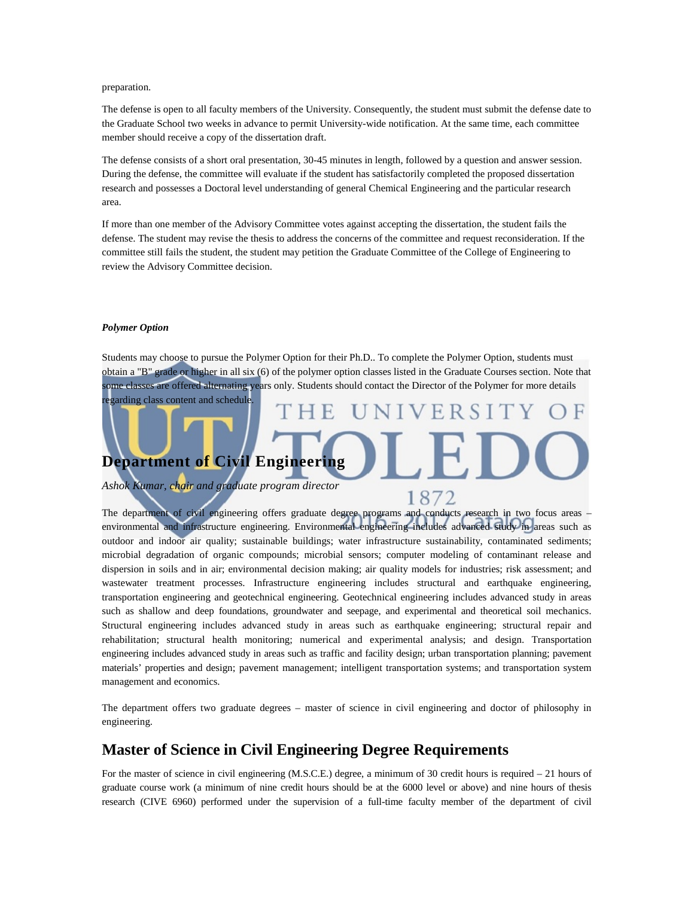#### preparation.

The defense is open to all faculty members of the University. Consequently, the student must submit the defense date to the Graduate School two weeks in advance to permit University-wide notification. At the same time, each committee member should receive a copy of the dissertation draft.

The defense consists of a short oral presentation, 30-45 minutes in length, followed by a question and answer session. During the defense, the committee will evaluate if the student has satisfactorily completed the proposed dissertation research and possesses a Doctoral level understanding of general Chemical Engineering and the particular research area.

If more than one member of the Advisory Committee votes against accepting the dissertation, the student fails the defense. The student may revise the thesis to address the concerns of the committee and request reconsideration. If the committee still fails the student, the student may petition the Graduate Committee of the College of Engineering to review the Advisory Committee decision.

#### *Polymer Option*

regarding class content and schedule.

Students may choose to pursue the Polymer Option for their Ph.D.. To complete the Polymer Option, students must obtain a "B" grade or higher in all six (6) of the polymer option classes listed in the Graduate Courses section. Note that some classes are offered alternating years only. Students should contact the Director of the Polymer for more details

# **IVERSI Department of Civil Engineering**

1872

*Ashok Kumar, chair and graduate program director*

The department of civil engineering offers graduate degree programs and conducts research in two focus areas – environmental and infrastructure engineering. Environmental engineering includes advanced study in areas such as outdoor and indoor air quality; sustainable buildings; water infrastructure sustainability, contaminated sediments; microbial degradation of organic compounds; microbial sensors; computer modeling of contaminant release and dispersion in soils and in air; environmental decision making; air quality models for industries; risk assessment; and wastewater treatment processes. Infrastructure engineering includes structural and earthquake engineering, transportation engineering and geotechnical engineering. Geotechnical engineering includes advanced study in areas such as shallow and deep foundations, groundwater and seepage, and experimental and theoretical soil mechanics. Structural engineering includes advanced study in areas such as earthquake engineering; structural repair and rehabilitation; structural health monitoring; numerical and experimental analysis; and design. Transportation engineering includes advanced study in areas such as traffic and facility design; urban transportation planning; pavement materials' properties and design; pavement management; intelligent transportation systems; and transportation system management and economics.

The department offers two graduate degrees – master of science in civil engineering and doctor of philosophy in engineering.

#### **Master of Science in Civil Engineering Degree Requirements**

For the master of science in civil engineering (M.S.C.E.) degree, a minimum of 30 credit hours is required – 21 hours of graduate course work (a minimum of nine credit hours should be at the 6000 level or above) and nine hours of thesis research (CIVE 6960) performed under the supervision of a full-time faculty member of the department of civil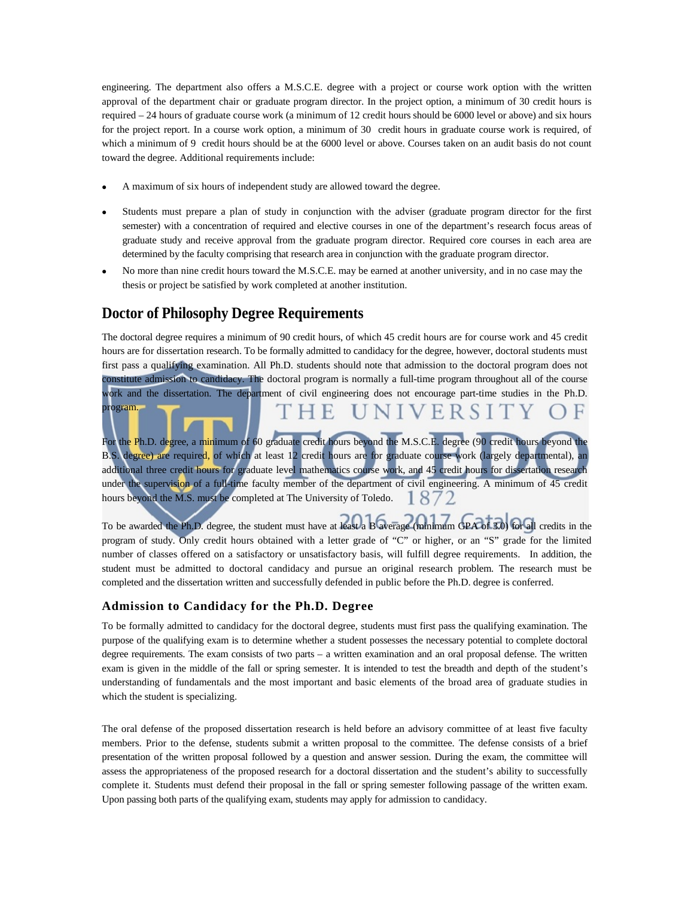engineering. The department also offers a M.S.C.E. degree with a project or course work option with the written approval of the department chair or graduate program director. In the project option, a minimum of 30 credit hours is required – 24 hours of graduate course work (a minimum of 12 credit hours should be 6000 level or above) and six hours for the project report. In a course work option, a minimum of 30 credit hours in graduate course work is required, of which a minimum of 9 credit hours should be at the 6000 level or above. Courses taken on an audit basis do not count toward the degree. Additional requirements include:

- A maximum of six hours of independent study are allowed toward the degree.
- Students must prepare a plan of study in conjunction with the adviser (graduate program director for the first semester) with a concentration of required and elective courses in one of the department's research focus areas of graduate study and receive approval from the graduate program director. Required core courses in each area are determined by the faculty comprising that research area in conjunction with the graduate program director.
- No more than nine credit hours toward the M.S.C.E. may be earned at another university, and in no case may the thesis or project be satisfied by work completed at another institution.

## **Doctor of Philosophy Degree Requirements**

program.

The doctoral degree requires a minimum of 90 credit hours, of which 45 credit hours are for course work and 45 credit hours are for dissertation research. To be formally admitted to candidacy for the degree, however, doctoral students must first pass a qualifying examination. All Ph.D. students should note that admission to the doctoral program does not constitute admission to candidacy. The doctoral program is normally a full-time program throughout all of the course work and the dissertation. The department of civil engineering does not encourage part-time studies in the Ph.D.

ERS

For the Ph.D. degree, a minimum of 60 graduate credit hours beyond the M.S.C.E. degree (90 credit hours beyond the B.S. degree) are required, of which at least 12 credit hours are for graduate course work (largely departmental), an additional three credit hours for graduate level mathematics course work, and 45 credit hours for dissertation research under the supervision of a full-time faculty member of the department of civil engineering. A minimum of 45 credit hours beyond the M.S. must be completed at The University of Toledo. 1872

To be awarded the Ph.D. degree, the student must have at least a B average (minimum GPA of 3.0) for all credits in the program of study. Only credit hours obtained with a letter grade of "C" or higher, or an "S" grade for the limited number of classes offered on a satisfactory or unsatisfactory basis, will fulfill degree requirements. In addition, the student must be admitted to doctoral candidacy and pursue an original research problem. The research must be completed and the dissertation written and successfully defended in public before the Ph.D. degree is conferred.

#### **Admission to Candidacy for the Ph.D. Degree**

To be formally admitted to candidacy for the doctoral degree, students must first pass the qualifying examination. The purpose of the qualifying exam is to determine whether a student possesses the necessary potential to complete doctoral degree requirements. The exam consists of two parts – a written examination and an oral proposal defense. The written exam is given in the middle of the fall or spring semester. It is intended to test the breadth and depth of the student's understanding of fundamentals and the most important and basic elements of the broad area of graduate studies in which the student is specializing.

The oral defense of the proposed dissertation research is held before an advisory committee of at least five faculty members. Prior to the defense, students submit a written proposal to the committee. The defense consists of a brief presentation of the written proposal followed by a question and answer session. During the exam, the committee will assess the appropriateness of the proposed research for a doctoral dissertation and the student's ability to successfully complete it. Students must defend their proposal in the fall or spring semester following passage of the written exam. Upon passing both parts of the qualifying exam, students may apply for admission to candidacy.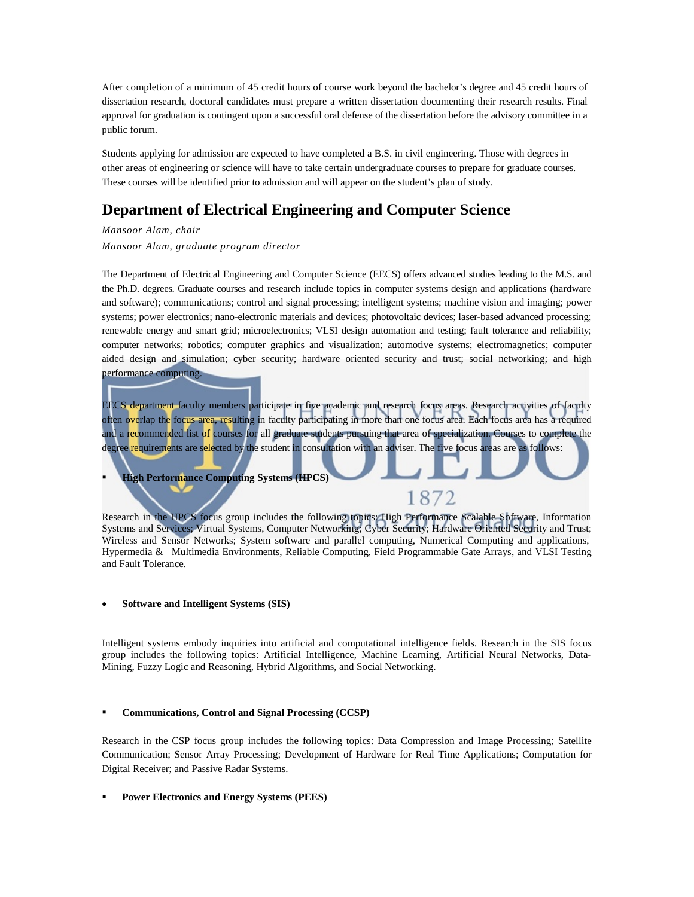After completion of a minimum of 45 credit hours of course work beyond the bachelor's degree and 45 credit hours of dissertation research, doctoral candidates must prepare a written dissertation documenting their research results. Final approval for graduation is contingent upon a successful oral defense of the dissertation before the advisory committee in a public forum.

Students applying for admission are expected to have completed a B.S. in civil engineering. Those with degrees in other areas of engineering or science will have to take certain undergraduate courses to prepare for graduate courses. These courses will be identified prior to admission and will appear on the student's plan of study.

## **Department of Electrical Engineering and Computer Science**

*Mansoor Alam, chair*

*Mansoor Alam, graduate program director*

The Department of Electrical Engineering and Computer Science (EECS) offers advanced studies leading to the M.S. and the Ph.D. degrees. Graduate courses and research include topics in computer systems design and applications (hardware and software); communications; control and signal processing; intelligent systems; machine vision and imaging; power systems; power electronics; nano-electronic materials and devices; photovoltaic devices; laser-based advanced processing; renewable energy and smart grid; microelectronics; VLSI design automation and testing; fault tolerance and reliability; computer networks; robotics; computer graphics and visualization; automotive systems; electromagnetics; computer aided design and simulation; cyber security; hardware oriented security and trust; social networking; and high performance computing.

EECS department faculty members participate in five academic and research focus areas. Research activities of faculty often overlap the focus area, resulting in faculty participating in more than one focus area. Each focus area has a required and a recommended list of courses for all graduate students pursuing that area of specialization. Courses to complete the degree requirements are selected by the student in consultation with an adviser. The five focus areas are as follows:

#### **High Performance Computing Systems (HPCS)**

Research in the HPCS focus group includes the following topics: High Performance Scalable Software, Information Systems and Services; Virtual Systems, Computer Networking; Cyber Security; Hardware Oriented Security and Trust; Wireless and Sensor Networks; System software and parallel computing, Numerical Computing and applications, Hypermedia & Multimedia Environments, Reliable Computing, Field Programmable Gate Arrays, and VLSI Testing and Fault Tolerance.

1872

#### • **Software and Intelligent Systems (SIS)**

Intelligent systems embody inquiries into artificial and computational intelligence fields. Research in the SIS focus group includes the following topics: Artificial Intelligence, Machine Learning, Artificial Neural Networks, Data-Mining, Fuzzy Logic and Reasoning, Hybrid Algorithms, and Social Networking.

#### **Communications, Control and Signal Processing (CCSP)**

Research in the CSP focus group includes the following topics: Data Compression and Image Processing; Satellite Communication; Sensor Array Processing; Development of Hardware for Real Time Applications; Computation for Digital Receiver; and Passive Radar Systems.

#### **Power Electronics and Energy Systems (PEES)**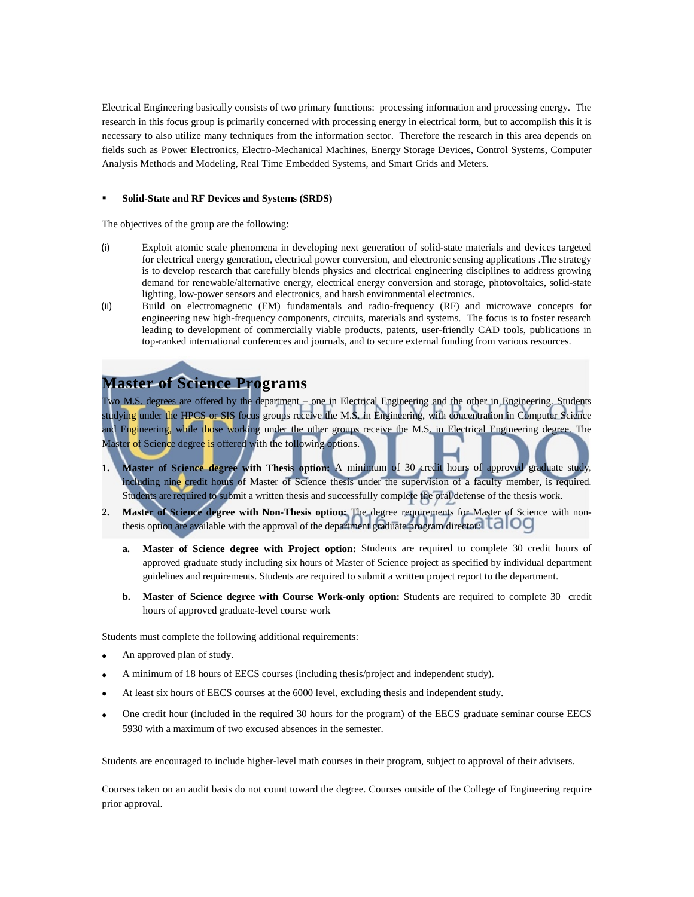Electrical Engineering basically consists of two primary functions: processing information and processing energy. The research in this focus group is primarily concerned with processing energy in electrical form, but to accomplish this it is necessary to also utilize many techniques from the information sector. Therefore the research in this area depends on fields such as Power Electronics, Electro-Mechanical Machines, Energy Storage Devices, Control Systems, Computer Analysis Methods and Modeling, Real Time Embedded Systems, and Smart Grids and Meters.

#### **Solid-State and RF Devices and Systems (SRDS)**

The objectives of the group are the following:

- (i) Exploit atomic scale phenomena in developing next generation of solid-state materials and devices targeted for electrical energy generation, electrical power conversion, and electronic sensing applications .The strategy is to develop research that carefully blends physics and electrical engineering disciplines to address growing demand for renewable/alternative energy, electrical energy conversion and storage, photovoltaics, solid-state lighting, low-power sensors and electronics, and harsh environmental electronics.
- (ii) Build on electromagnetic (EM) fundamentals and radio-frequency (RF) and microwave concepts for engineering new high-frequency components, circuits, materials and systems. The focus is to foster research leading to development of commercially viable products, patents, user-friendly CAD tools, publications in top-ranked international conferences and journals, and to secure external funding from various resources.

## **Master of Science Programs**

Two M.S. degrees are offered by the department – one in Electrical Engineering and the other in Engineering. Students studying under the HPCS or SIS focus groups receive the M.S. in Engineering, with concentration in Computer Science and Engineering, while those working under the other groups receive the M.S. in Electrical Engineering degree. The Master of Science degree is offered with the following options.

- **1. Master of Science degree with Thesis option:** A minimum of 30 credit hours of approved graduate study, including nine credit hours of Master of Science thesis under the supervision of a faculty member, is required. Students are required to submit a written thesis and successfully complete the oral defense of the thesis work.
- **2. Master of Science degree with Non-Thesis option:** The degree requirements for Master of Science with nonthesis option are available with the approval of the department graduate program director: LCIOO
	- **a. Master of Science degree with Project option:** Students are required to complete 30 credit hours of approved graduate study including six hours of Master of Science project as specified by individual department guidelines and requirements. Students are required to submit a written project report to the department.
	- **b.** Master of Science degree with Course Work-only option: Students are required to complete 30 credit hours of approved graduate-level course work

Students must complete the following additional requirements:

- An approved plan of study.
- A minimum of 18 hours of EECS courses (including thesis/project and independent study).
- At least six hours of EECS courses at the 6000 level, excluding thesis and independent study.
- One credit hour (included in the required 30 hours for the program) of the EECS graduate seminar course EECS 5930 with a maximum of two excused absences in the semester.

Students are encouraged to include higher-level math courses in their program, subject to approval of their advisers.

Courses taken on an audit basis do not count toward the degree. Courses outside of the College of Engineering require prior approval.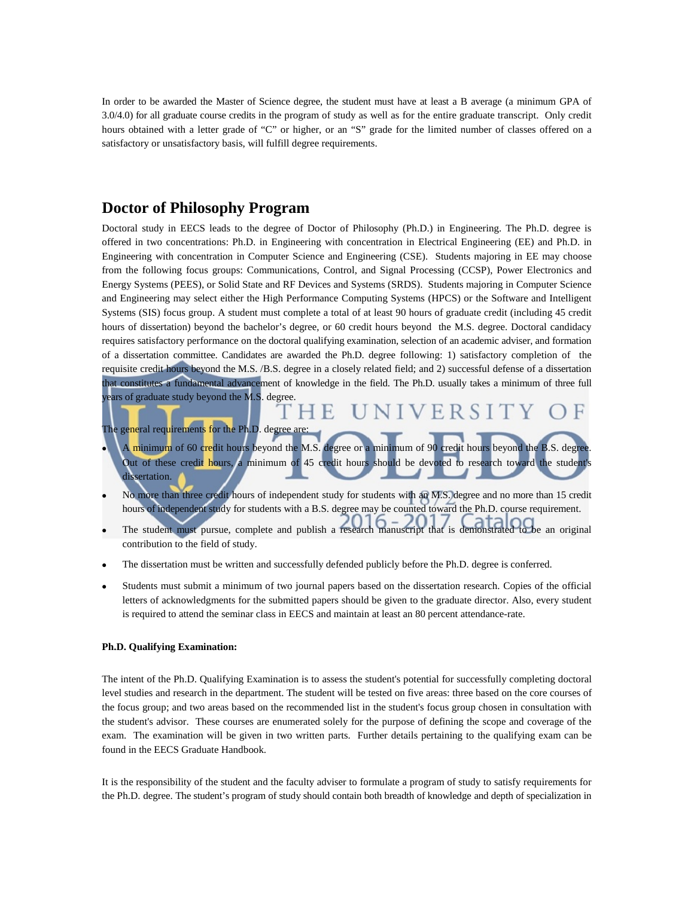In order to be awarded the Master of Science degree, the student must have at least a B average (a minimum GPA of 3.0/4.0) for all graduate course credits in the program of study as well as for the entire graduate transcript. Only credit hours obtained with a letter grade of "C" or higher, or an "S" grade for the limited number of classes offered on a satisfactory or unsatisfactory basis, will fulfill degree requirements.

#### **Doctor of Philosophy Program**

Doctoral study in EECS leads to the degree of Doctor of Philosophy (Ph.D.) in Engineering. The Ph.D. degree is offered in two concentrations: Ph.D. in Engineering with concentration in Electrical Engineering (EE) and Ph.D. in Engineering with concentration in Computer Science and Engineering (CSE). Students majoring in EE may choose from the following focus groups: Communications, Control, and Signal Processing (CCSP), Power Electronics and Energy Systems (PEES), or Solid State and RF Devices and Systems (SRDS). Students majoring in Computer Science and Engineering may select either the High Performance Computing Systems (HPCS) or the Software and Intelligent Systems (SIS) focus group. A student must complete a total of at least 90 hours of graduate credit (including 45 credit hours of dissertation) beyond the bachelor's degree, or 60 credit hours beyond the M.S. degree. Doctoral candidacy requires satisfactory performance on the doctoral qualifying examination, selection of an academic adviser, and formation of a dissertation committee. Candidates are awarded the Ph.D. degree following: 1) satisfactory completion of the requisite credit hours beyond the M.S. /B.S. degree in a closely related field; and 2) successful defense of a dissertation that constitutes a fundamental advancement of knowledge in the field. The Ph.D. usually takes a minimum of three full years of graduate study beyond the M.S. degree.

- **JIVERSI** The general requirements for the Ph.D. degree are A minimum of 60 credit hours beyond the M.S. degree or a minimum of 90 credit hours beyond the B.S. degree. Out of these credit hours, a minimum of 45 credit hours should be devoted to research toward the student's
- No more than three credit hours of independent study for students with an M.S. degree and no more than 15 credit hours of independent study for students with a B.S. degree may be counted toward the Ph.D. course requirement.
- The student must pursue, complete and publish a research manuscript that is demonstrated to be an original contribution to the field of study.
- The dissertation must be written and successfully defended publicly before the Ph.D. degree is conferred.
- Students must submit a minimum of two journal papers based on the dissertation research. Copies of the official letters of acknowledgments for the submitted papers should be given to the graduate director. Also, every student is required to attend the seminar class in EECS and maintain at least an 80 percent attendance-rate.

#### **Ph.D. Qualifying Examination:**

dissertation.

The intent of the Ph.D. Qualifying Examination is to assess the student's potential for successfully completing doctoral level studies and research in the department. The student will be tested on five areas: three based on the core courses of the focus group; and two areas based on the recommended list in the student's focus group chosen in consultation with the student's advisor. These courses are enumerated solely for the purpose of defining the scope and coverage of the exam. The examination will be given in two written parts. Further details pertaining to the qualifying exam can be found in the EECS Graduate Handbook.

It is the responsibility of the student and the faculty adviser to formulate a program of study to satisfy requirements for the Ph.D. degree. The student's program of study should contain both breadth of knowledge and depth of specialization in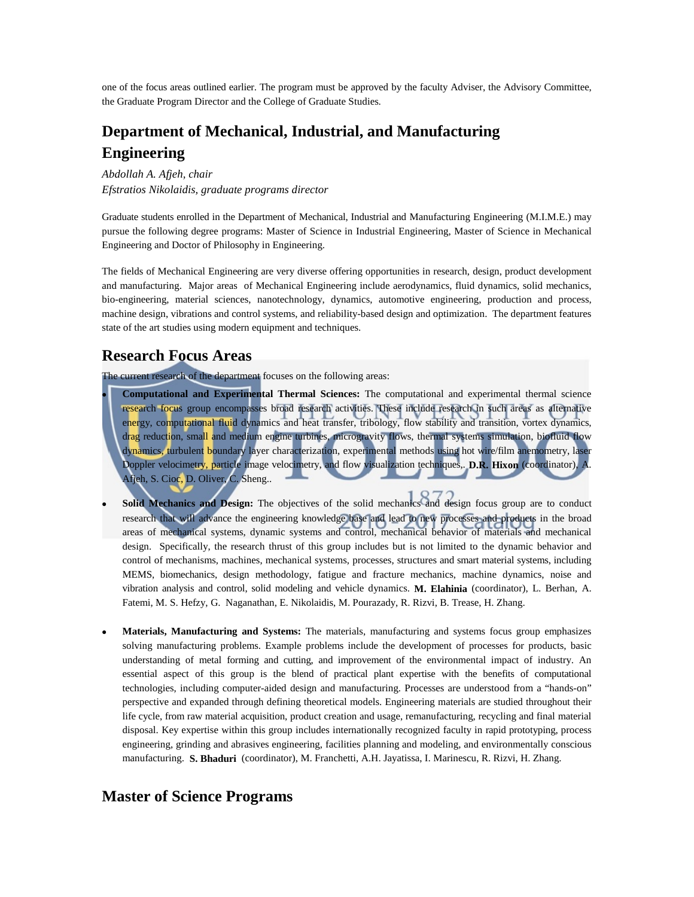one of the focus areas outlined earlier. The program must be approved by the faculty Adviser, the Advisory Committee, the Graduate Program Director and the College of Graduate Studies.

# **Department of Mechanical, Industrial, and Manufacturing Engineering**

*Abdollah A. Afjeh, chair Efstratios Nikolaidis, graduate programs director*

Graduate students enrolled in the Department of Mechanical, Industrial and Manufacturing Engineering (M.I.M.E.) may pursue the following degree programs: Master of Science in Industrial Engineering, Master of Science in Mechanical Engineering and Doctor of Philosophy in Engineering.

The fields of Mechanical Engineering are very diverse offering opportunities in research, design, product development and manufacturing. Major areas of Mechanical Engineering include aerodynamics, fluid dynamics, solid mechanics, bio-engineering, material sciences, nanotechnology, dynamics, automotive engineering, production and process, machine design, vibrations and control systems, and reliability-based design and optimization. The department features state of the art studies using modern equipment and techniques.

## **Research Focus Areas**

The current research of the department focuses on the following areas:

- **Computational and Experimental Thermal Sciences:** The computational and experimental thermal science research focus group encompasses broad research activities. These include research in such areas as alternative energy, computational fluid dynamics and heat transfer, tribology, flow stability and transition, vortex dynamics, drag reduction, small and medium engine turbines, microgravity flows, thermal systems simulation, biofluid flow dynamics, turbulent boundary layer characterization, experimental methods using hot wire/film anemometry, laser Doppler velocimetry, particle image velocimetry, and flow visualization techniques,. **D.R. Hixon** (coordinator), A. Afjeh, S. Cioc, D. Oliver, C. Sheng..
- **Solid Mechanics and Design:** The objectives of the solid mechanics and design focus group are to conduct research that will advance the engineering knowledge base and lead to new processes and products in the broad areas of mechanical systems, dynamic systems and control, mechanical behavior of materials and mechanical design. Specifically, the research thrust of this group includes but is not limited to the dynamic behavior and control of mechanisms, machines, mechanical systems, processes, structures and smart material systems, including MEMS, biomechanics, design methodology, fatigue and fracture mechanics, machine dynamics, noise and vibration analysis and control, solid modeling and vehicle dynamics. **M. Elahinia** (coordinator), L. Berhan, A. Fatemi, M. S. Hefzy, G. Naganathan, E. Nikolaidis, M. Pourazady, R. Rizvi, B. Trease, H. Zhang.
- **Materials, Manufacturing and Systems:** The materials, manufacturing and systems focus group emphasizes solving manufacturing problems. Example problems include the development of processes for products, basic understanding of metal forming and cutting, and improvement of the environmental impact of industry. An essential aspect of this group is the blend of practical plant expertise with the benefits of computational technologies, including computer-aided design and manufacturing. Processes are understood from a "hands-on" perspective and expanded through defining theoretical models. Engineering materials are studied throughout their life cycle, from raw material acquisition, product creation and usage, remanufacturing, recycling and final material disposal. Key expertise within this group includes internationally recognized faculty in rapid prototyping, process engineering, grinding and abrasives engineering, facilities planning and modeling, and environmentally conscious manufacturing. **S. Bhaduri** (coordinator), M. Franchetti, A.H. Jayatissa, I. Marinescu, R. Rizvi, H. Zhang.

## **Master of Science Programs**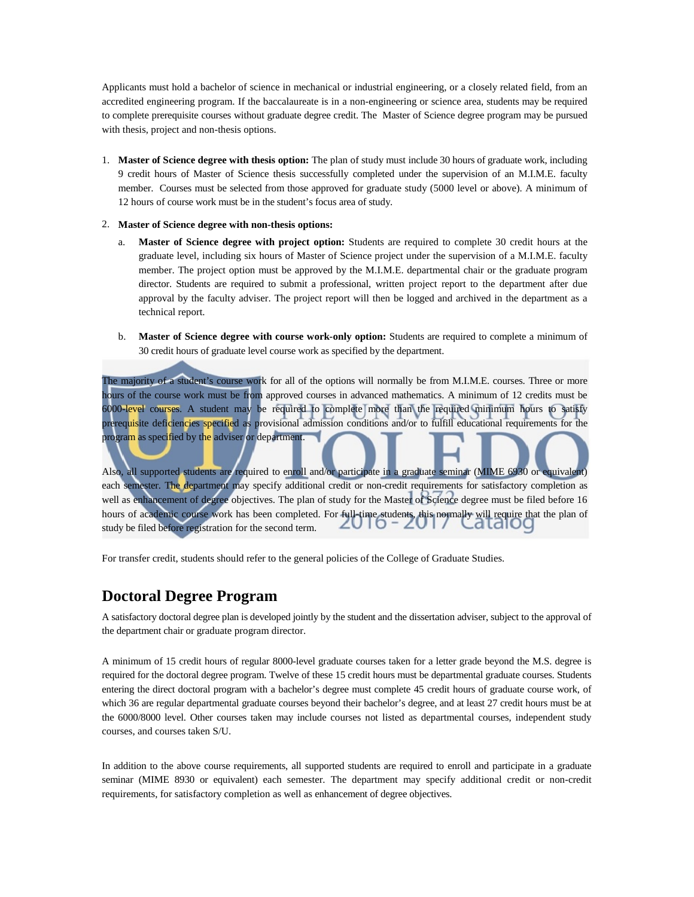Applicants must hold a bachelor of science in mechanical or industrial engineering, or a closely related field, from an accredited engineering program. If the baccalaureate is in a non-engineering or science area, students may be required to complete prerequisite courses without graduate degree credit. The Master of Science degree program may be pursued with thesis, project and non-thesis options.

- 1. **Master of Science degree with thesis option:** The plan of study must include 30 hours of graduate work, including 9 credit hours of Master of Science thesis successfully completed under the supervision of an M.I.M.E. faculty member. Courses must be selected from those approved for graduate study (5000 level or above). A minimum of 12 hours of course work must be in the student's focus area of study.
- 2. **Master of Science degree with non-thesis options:**
	- Master of Science degree with project option: Students are required to complete 30 credit hours at the graduate level, including six hours of Master of Science project under the supervision of a M.I.M.E. faculty member. The project option must be approved by the M.I.M.E. departmental chair or the graduate program director. Students are required to submit a professional, written project report to the department after due approval by the faculty adviser. The project report will then be logged and archived in the department as a technical report.
	- b. **Master of Science degree with course work-only option:** Students are required to complete a minimum of 30 credit hours of graduate level course work as specified by the department.

The majority of a student's course work for all of the options will normally be from M.I.M.E. courses. Three or more hours of the course work must be from approved courses in advanced mathematics. A minimum of 12 credits must be 6000-level courses. A student may be required to complete more than the required minimum hours to satisfy prerequisite deficiencies specified as provisional admission conditions and/or to fulfill educational requirements for the program as specified by the adviser or department.

Also, all supported students are required to enroll and/or participate in a graduate seminar (MIME 6930 or equivalent) each semester. The department may specify additional credit or non-credit requirements for satisfactory completion as well as enhancement of degree objectives. The plan of study for the Master of Science degree must be filed before 16 hours of academic course work has been completed. For full-time students, this normally will require that the plan of study be filed before registration for the second term.

For transfer credit, students should refer to the general policies of the College of Graduate Studies.

## **Doctoral Degree Program**

A satisfactory doctoral degree plan is developed jointly by the student and the dissertation adviser, subject to the approval of the department chair or graduate program director.

A minimum of 15 credit hours of regular 8000-level graduate courses taken for a letter grade beyond the M.S. degree is required for the doctoral degree program. Twelve of these 15 credit hours must be departmental graduate courses. Students entering the direct doctoral program with a bachelor's degree must complete 45 credit hours of graduate course work, of which 36 are regular departmental graduate courses beyond their bachelor's degree, and at least 27 credit hours must be at the 6000/8000 level. Other courses taken may include courses not listed as departmental courses, independent study courses, and courses taken S/U.

In addition to the above course requirements, all supported students are required to enroll and participate in a graduate seminar (MIME 8930 or equivalent) each semester. The department may specify additional credit or non-credit requirements, for satisfactory completion as well as enhancement of degree objectives.